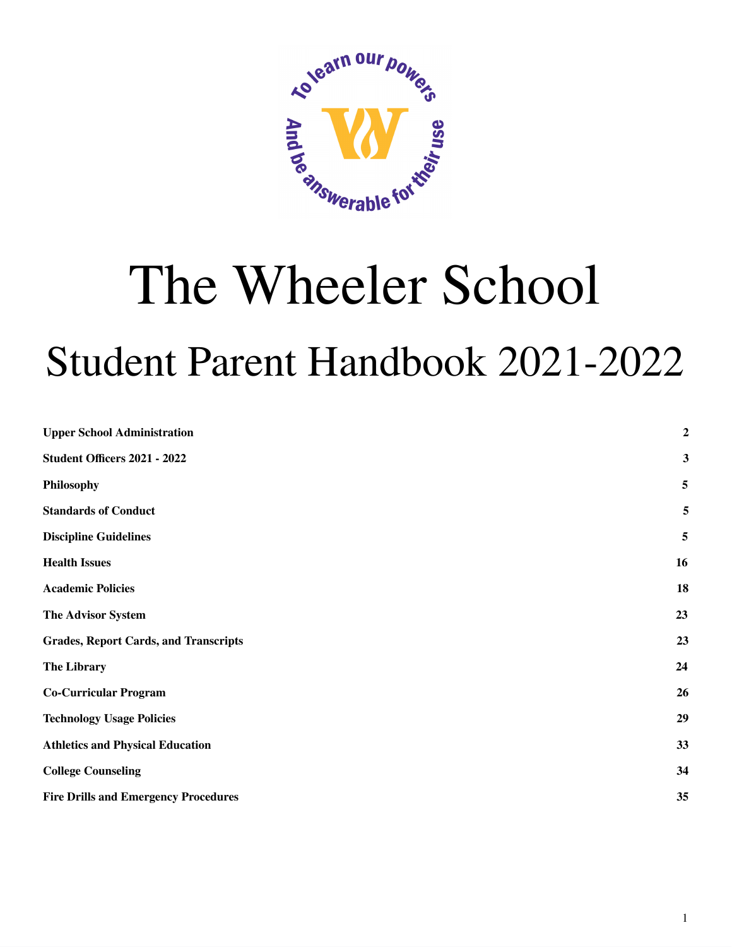

# The Wheeler School Student Parent Handbook 2021-2022

| <b>Upper School Administration</b>           | $\boldsymbol{2}$        |
|----------------------------------------------|-------------------------|
| Student Officers 2021 - 2022                 | $\mathbf{3}$            |
| Philosophy                                   | $\overline{\mathbf{5}}$ |
| <b>Standards of Conduct</b>                  | $\overline{5}$          |
| <b>Discipline Guidelines</b>                 | $\overline{\mathbf{5}}$ |
| <b>Health Issues</b>                         | 16                      |
| <b>Academic Policies</b>                     | 18                      |
| The Advisor System                           | 23                      |
| <b>Grades, Report Cards, and Transcripts</b> | 23                      |
| <b>The Library</b>                           | 24                      |
| <b>Co-Curricular Program</b>                 | 26                      |
| <b>Technology Usage Policies</b>             | 29                      |
| <b>Athletics and Physical Education</b>      | 33                      |
| <b>College Counseling</b>                    | 34                      |
| <b>Fire Drills and Emergency Procedures</b>  | 35                      |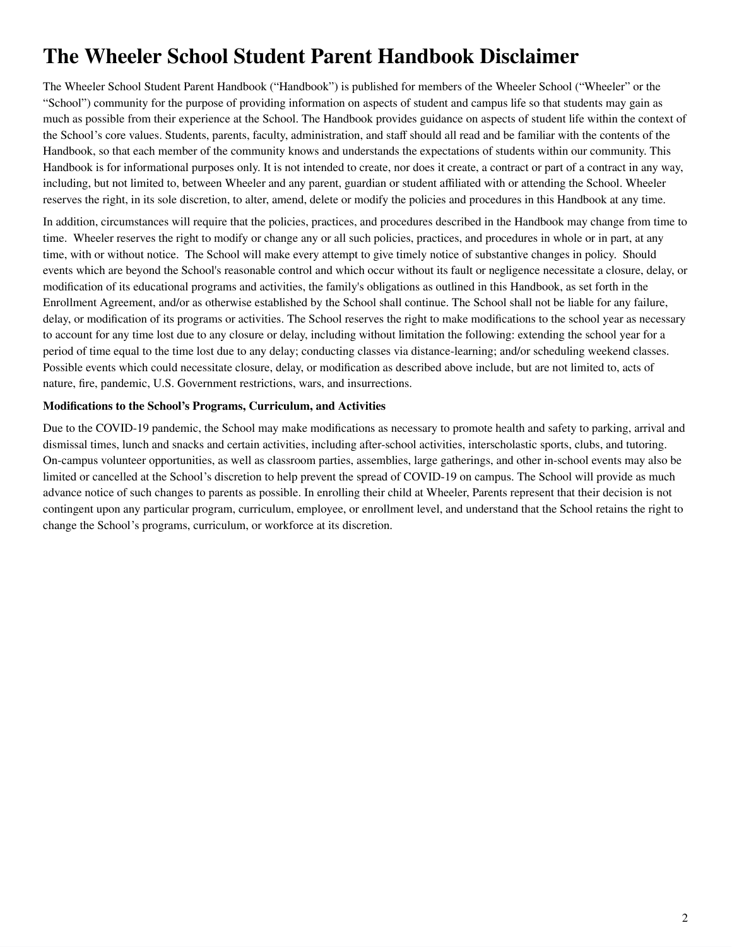## **The Wheeler School Student Parent Handbook Disclaimer**

The Wheeler School Student Parent Handbook ("Handbook") is published for members of the Wheeler School ("Wheeler" or the "School") community for the purpose of providing information on aspects of student and campus life so that students may gain as much as possible from their experience at the School. The Handbook provides guidance on aspects of student life within the context of the School's core values. Students, parents, faculty, administration, and staff should all read and be familiar with the contents of the Handbook, so that each member of the community knows and understands the expectations of students within our community. This Handbook is for informational purposes only. It is not intended to create, nor does it create, a contract or part of a contract in any way, including, but not limited to, between Wheeler and any parent, guardian or student affiliated with or attending the School. Wheeler reserves the right, in its sole discretion, to alter, amend, delete or modify the policies and procedures in this Handbook at any time.

In addition, circumstances will require that the policies, practices, and procedures described in the Handbook may change from time to time. Wheeler reserves the right to modify or change any or all such policies, practices, and procedures in whole or in part, at any time, with or without notice. The School will make every attempt to give timely notice of substantive changes in policy. Should events which are beyond the School's reasonable control and which occur without its fault or negligence necessitate a closure, delay, or modification of its educational programs and activities, the family's obligations as outlined in this Handbook, as set forth in the Enrollment Agreement, and/or as otherwise established by the School shall continue. The School shall not be liable for any failure, delay, or modification of its programs or activities. The School reserves the right to make modifications to the school year as necessary to account for any time lost due to any closure or delay, including without limitation the following: extending the school year for a period of time equal to the time lost due to any delay; conducting classes via distance-learning; and/or scheduling weekend classes. Possible events which could necessitate closure, delay, or modification as described above include, but are not limited to, acts of nature, fire, pandemic, U.S. Government restrictions, wars, and insurrections.

#### **Modifications to the School's Programs, Curriculum, and Activities**

<span id="page-1-0"></span>Due to the COVID-19 pandemic, the School may make modifications as necessary to promote health and safety to parking, arrival and dismissal times, lunch and snacks and certain activities, including after-school activities, interscholastic sports, clubs, and tutoring. On-campus volunteer opportunities, as well as classroom parties, assemblies, large gatherings, and other in-school events may also be limited or cancelled at the School's discretion to help prevent the spread of COVID-19 on campus. The School will provide as much advance notice of such changes to parents as possible. In enrolling their child at Wheeler, Parents represent that their decision is not contingent upon any particular program, curriculum, employee, or enrollment level, and understand that the School retains the right to change the School's programs, curriculum, or workforce at its discretion.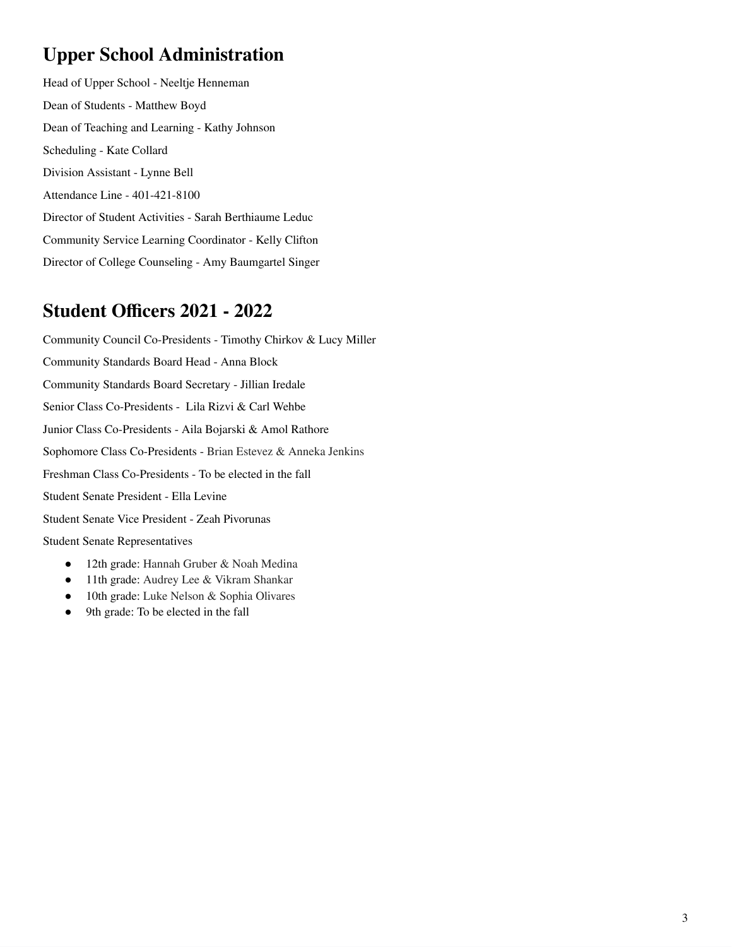### **Upper School Administration**

Head of Upper School - Neeltje Henneman Dean of Students - Matthew Boyd Dean of Teaching and Learning - Kathy Johnson Scheduling - Kate Collard Division Assistant - Lynne Bell Attendance Line - 401-421-8100 Director of Student Activities - Sarah Berthiaume Leduc Community Service Learning Coordinator - Kelly Clifton Director of College Counseling - Amy Baumgartel Singer

### <span id="page-2-0"></span>**Student Officers 2021 - 2022**

Community Council Co-Presidents - Timothy Chirkov & Lucy Miller Community Standards Board Head - Anna Block Community Standards Board Secretary - Jillian Iredale Senior Class Co-Presidents - Lila Rizvi & Carl Wehbe Junior Class Co-Presidents - Aila Bojarski & Amol Rathore Sophomore Class Co-Presidents - Brian Estevez & Anneka Jenkins Freshman Class Co-Presidents - To be elected in the fall Student Senate President - Ella Levine Student Senate Vice President - Zeah Pivorunas Student Senate Representatives

- 12th grade: Hannah Gruber & Noah Medina
- 11th grade: Audrey Lee & Vikram Shankar
- 10th grade: Luke Nelson & Sophia Olivares
- 9th grade: To be elected in the fall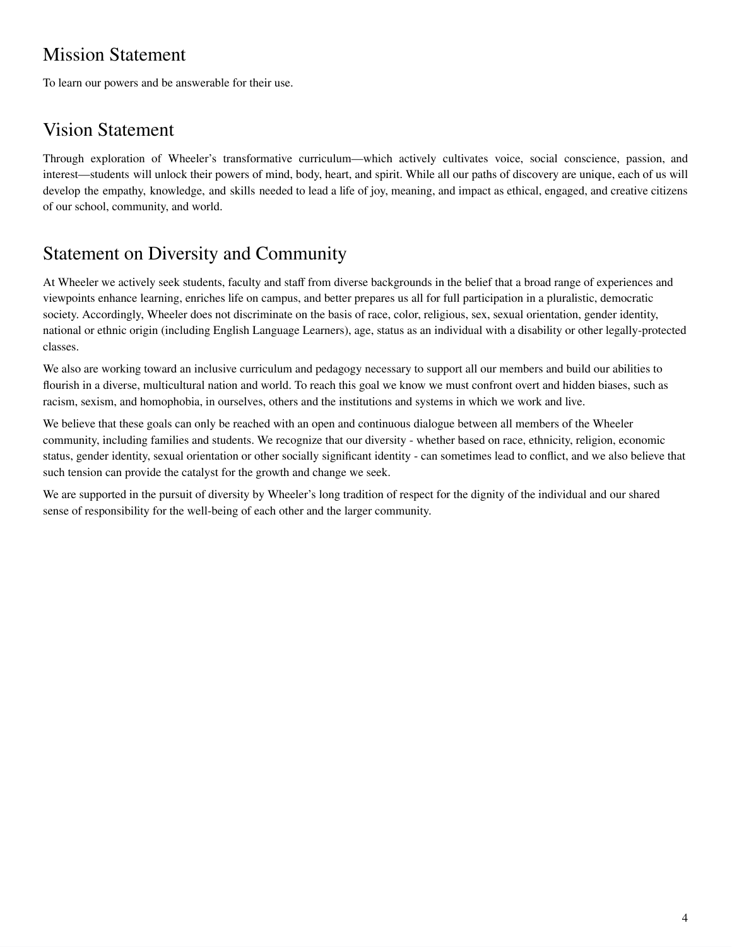### Mission Statement

To learn our powers and be answerable for their use.

### Vision Statement

Through exploration of Wheeler's transformative curriculum—which actively cultivates voice, social conscience, passion, and interest—students will unlock their powers of mind, body, heart, and spirit. While all our paths of discovery are unique, each of us will develop the empathy, knowledge, and skills needed to lead a life of joy, meaning, and impact as ethical, engaged, and creative citizens of our school, community, and world.

### Statement on Diversity and Community

At Wheeler we actively seek students, faculty and staff from diverse backgrounds in the belief that a broad range of experiences and viewpoints enhance learning, enriches life on campus, and better prepares us all for full participation in a pluralistic, democratic society. Accordingly, Wheeler does not discriminate on the basis of race, color, religious, sex, sexual orientation, gender identity, national or ethnic origin (including English Language Learners), age, status as an individual with a disability or other legally-protected classes.

We also are working toward an inclusive curriculum and pedagogy necessary to support all our members and build our abilities to flourish in a diverse, multicultural nation and world. To reach this goal we know we must confront overt and hidden biases, such as racism, sexism, and homophobia, in ourselves, others and the institutions and systems in which we work and live.

We believe that these goals can only be reached with an open and continuous dialogue between all members of the Wheeler community, including families and students. We recognize that our diversity - whether based on race, ethnicity, religion, economic status, gender identity, sexual orientation or other socially significant identity - can sometimes lead to conflict, and we also believe that such tension can provide the catalyst for the growth and change we seek.

We are supported in the pursuit of diversity by Wheeler's long tradition of respect for the dignity of the individual and our shared sense of responsibility for the well-being of each other and the larger community.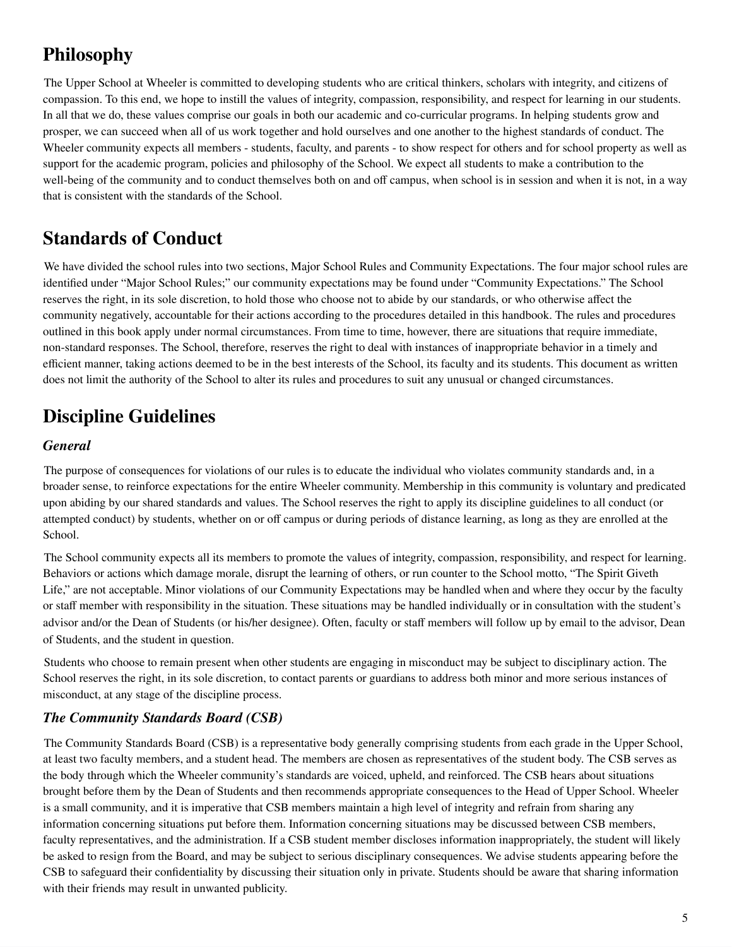### <span id="page-4-0"></span>**Philosophy**

The Upper School at Wheeler is committed to developing students who are critical thinkers, scholars with integrity, and citizens of compassion. To this end, we hope to instill the values of integrity, compassion, responsibility, and respect for learning in our students. In all that we do, these values comprise our goals in both our academic and co-curricular programs. In helping students grow and prosper, we can succeed when all of us work together and hold ourselves and one another to the highest standards of conduct. The Wheeler community expects all members - students, faculty, and parents - to show respect for others and for school property as well as support for the academic program, policies and philosophy of the School. We expect all students to make a contribution to the well-being of the community and to conduct themselves both on and off campus, when school is in session and when it is not, in a way that is consistent with the standards of the School.

### <span id="page-4-1"></span>**Standards of Conduct**

We have divided the school rules into two sections, Major School Rules and Community Expectations. The four major school rules are identified under "Major School Rules;" our community expectations may be found under "Community Expectations." The School reserves the right, in its sole discretion, to hold those who choose not to abide by our standards, or who otherwise affect the community negatively, accountable for their actions according to the procedures detailed in this handbook. The rules and procedures outlined in this book apply under normal circumstances. From time to time, however, there are situations that require immediate, non-standard responses. The School, therefore, reserves the right to deal with instances of inappropriate behavior in a timely and efficient manner, taking actions deemed to be in the best interests of the School, its faculty and its students. This document as written does not limit the authority of the School to alter its rules and procedures to suit any unusual or changed circumstances.

### <span id="page-4-2"></span>**Discipline Guidelines**

#### *General*

The purpose of consequences for violations of our rules is to educate the individual who violates community standards and, in a broader sense, to reinforce expectations for the entire Wheeler community. Membership in this community is voluntary and predicated upon abiding by our shared standards and values. The School reserves the right to apply its discipline guidelines to all conduct (or attempted conduct) by students, whether on or off campus or during periods of distance learning, as long as they are enrolled at the School.

The School community expects all its members to promote the values of integrity, compassion, responsibility, and respect for learning. Behaviors or actions which damage morale, disrupt the learning of others, or run counter to the School motto, "The Spirit Giveth Life," are not acceptable. Minor violations of our Community Expectations may be handled when and where they occur by the faculty or staff member with responsibility in the situation. These situations may be handled individually or in consultation with the student's advisor and/or the Dean of Students (or his/her designee). Often, faculty or staff members will follow up by email to the advisor, Dean of Students, and the student in question.

Students who choose to remain present when other students are engaging in misconduct may be subject to disciplinary action. The School reserves the right, in its sole discretion, to contact parents or guardians to address both minor and more serious instances of misconduct, at any stage of the discipline process.

#### *The Community Standards Board (CSB)*

The Community Standards Board (CSB) is a representative body generally comprising students from each grade in the Upper School, at least two faculty members, and a student head. The members are chosen as representatives of the student body. The CSB serves as the body through which the Wheeler community's standards are voiced, upheld, and reinforced. The CSB hears about situations brought before them by the Dean of Students and then recommends appropriate consequences to the Head of Upper School. Wheeler is a small community, and it is imperative that CSB members maintain a high level of integrity and refrain from sharing any information concerning situations put before them. Information concerning situations may be discussed between CSB members, faculty representatives, and the administration. If a CSB student member discloses information inappropriately, the student will likely be asked to resign from the Board, and may be subject to serious disciplinary consequences. We advise students appearing before the CSB to safeguard their confidentiality by discussing their situation only in private. Students should be aware that sharing information with their friends may result in unwanted publicity.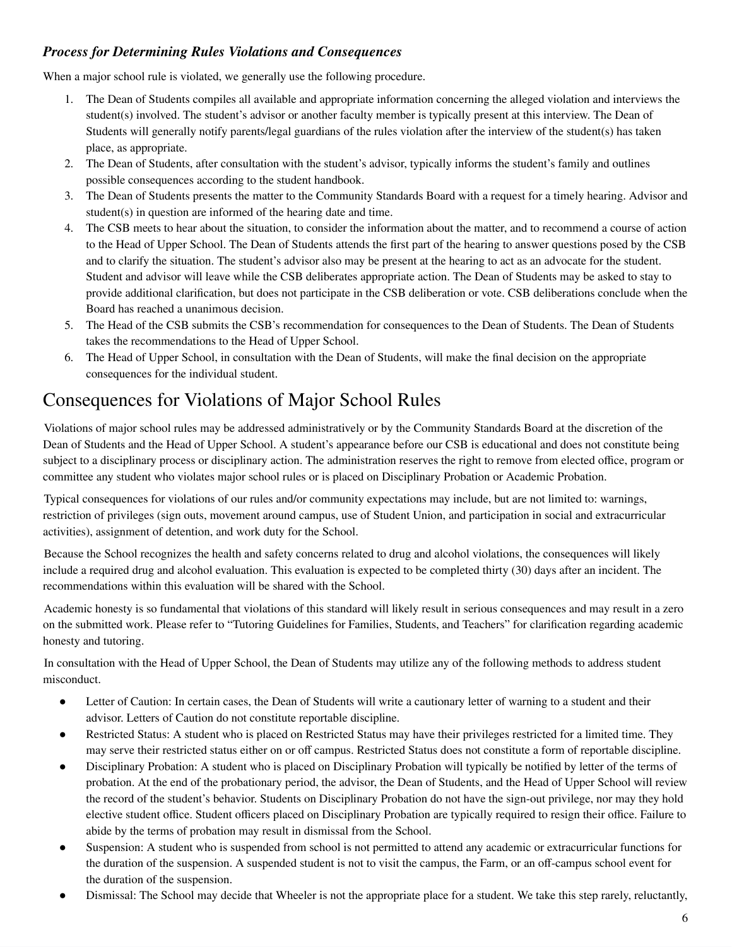#### *Process for Determining Rules Violations and Consequences*

When a major school rule is violated, we generally use the following procedure.

- 1. The Dean of Students compiles all available and appropriate information concerning the alleged violation and interviews the student(s) involved. The student's advisor or another faculty member is typically present at this interview. The Dean of Students will generally notify parents/legal guardians of the rules violation after the interview of the student(s) has taken place, as appropriate.
- 2. The Dean of Students, after consultation with the student's advisor, typically informs the student's family and outlines possible consequences according to the student handbook.
- 3. The Dean of Students presents the matter to the Community Standards Board with a request for a timely hearing. Advisor and student(s) in question are informed of the hearing date and time.
- 4. The CSB meets to hear about the situation, to consider the information about the matter, and to recommend a course of action to the Head of Upper School. The Dean of Students attends the first part of the hearing to answer questions posed by the CSB and to clarify the situation. The student's advisor also may be present at the hearing to act as an advocate for the student. Student and advisor will leave while the CSB deliberates appropriate action. The Dean of Students may be asked to stay to provide additional clarification, but does not participate in the CSB deliberation or vote. CSB deliberations conclude when the Board has reached a unanimous decision.
- 5. The Head of the CSB submits the CSB's recommendation for consequences to the Dean of Students. The Dean of Students takes the recommendations to the Head of Upper School.
- 6. The Head of Upper School, in consultation with the Dean of Students, will make the final decision on the appropriate consequences for the individual student.

### Consequences for Violations of Major School Rules

Violations of major school rules may be addressed administratively or by the Community Standards Board at the discretion of the Dean of Students and the Head of Upper School. A student's appearance before our CSB is educational and does not constitute being subject to a disciplinary process or disciplinary action. The administration reserves the right to remove from elected office, program or committee any student who violates major school rules or is placed on Disciplinary Probation or Academic Probation.

Typical consequences for violations of our rules and/or community expectations may include, but are not limited to: warnings, restriction of privileges (sign outs, movement around campus, use of Student Union, and participation in social and extracurricular activities), assignment of detention, and work duty for the School.

Because the School recognizes the health and safety concerns related to drug and alcohol violations, the consequences will likely include a required drug and alcohol evaluation. This evaluation is expected to be completed thirty (30) days after an incident. The recommendations within this evaluation will be shared with the School.

Academic honesty is so fundamental that violations of this standard will likely result in serious consequences and may result in a zero on the submitted work. Please refer to "Tutoring Guidelines for Families, Students, and Teachers" for clarification regarding academic honesty and tutoring.

In consultation with the Head of Upper School, the Dean of Students may utilize any of the following methods to address student misconduct.

- Letter of Caution: In certain cases, the Dean of Students will write a cautionary letter of warning to a student and their advisor. Letters of Caution do not constitute reportable discipline.
- Restricted Status: A student who is placed on Restricted Status may have their privileges restricted for a limited time. They may serve their restricted status either on or off campus. Restricted Status does not constitute a form of reportable discipline.
- Disciplinary Probation: A student who is placed on Disciplinary Probation will typically be notified by letter of the terms of probation. At the end of the probationary period, the advisor, the Dean of Students, and the Head of Upper School will review the record of the student's behavior. Students on Disciplinary Probation do not have the sign-out privilege, nor may they hold elective student office. Student officers placed on Disciplinary Probation are typically required to resign their office. Failure to abide by the terms of probation may result in dismissal from the School.
- Suspension: A student who is suspended from school is not permitted to attend any academic or extracurricular functions for the duration of the suspension. A suspended student is not to visit the campus, the Farm, or an off-campus school event for the duration of the suspension.
- Dismissal: The School may decide that Wheeler is not the appropriate place for a student. We take this step rarely, reluctantly,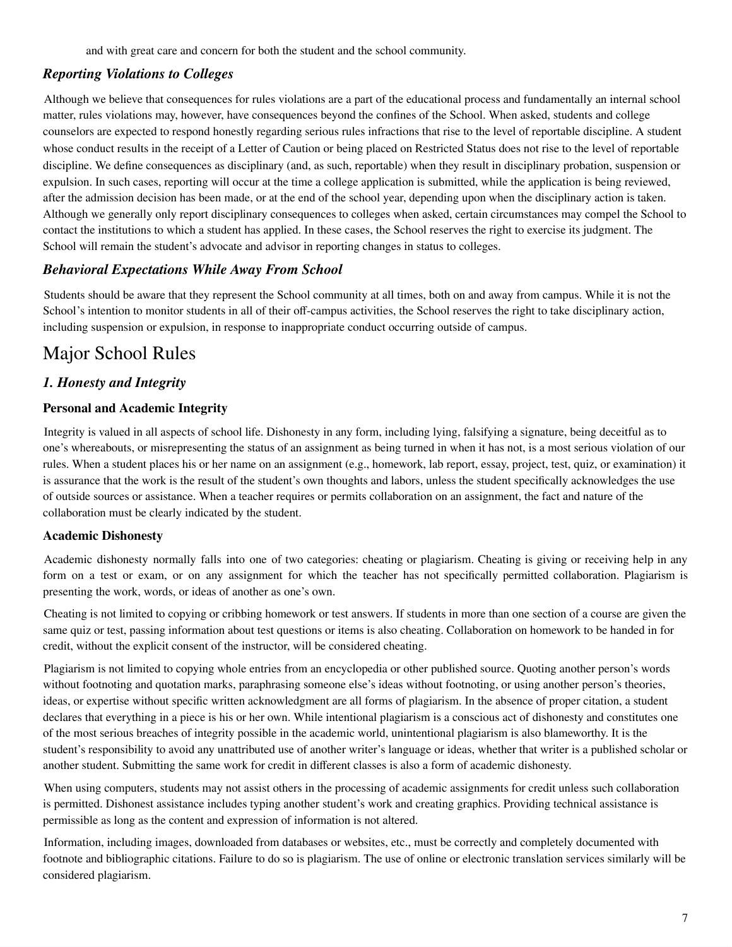and with great care and concern for both the student and the school community.

#### *Reporting Violations to Colleges*

Although we believe that consequences for rules violations are a part of the educational process and fundamentally an internal school matter, rules violations may, however, have consequences beyond the confines of the School. When asked, students and college counselors are expected to respond honestly regarding serious rules infractions that rise to the level of reportable discipline. A student whose conduct results in the receipt of a Letter of Caution or being placed on Restricted Status does not rise to the level of reportable discipline. We define consequences as disciplinary (and, as such, reportable) when they result in disciplinary probation, suspension or expulsion. In such cases, reporting will occur at the time a college application is submitted, while the application is being reviewed, after the admission decision has been made, or at the end of the school year, depending upon when the disciplinary action is taken. Although we generally only report disciplinary consequences to colleges when asked, certain circumstances may compel the School to contact the institutions to which a student has applied. In these cases, the School reserves the right to exercise its judgment. The School will remain the student's advocate and advisor in reporting changes in status to colleges.

#### *Behavioral Expectations While Away From School*

Students should be aware that they represent the School community at all times, both on and away from campus. While it is not the School's intention to monitor students in all of their off-campus activities, the School reserves the right to take disciplinary action, including suspension or expulsion, in response to inappropriate conduct occurring outside of campus.

### Major School Rules

#### *1. Honesty and Integrity*

#### **Personal and Academic Integrity**

Integrity is valued in all aspects of school life. Dishonesty in any form, including lying, falsifying a signature, being deceitful as to one's whereabouts, or misrepresenting the status of an assignment as being turned in when it has not, is a most serious violation of our rules. When a student places his or her name on an assignment (e.g., homework, lab report, essay, project, test, quiz, or examination) it is assurance that the work is the result of the student's own thoughts and labors, unless the student specifically acknowledges the use of outside sources or assistance. When a teacher requires or permits collaboration on an assignment, the fact and nature of the collaboration must be clearly indicated by the student.

#### **Academic Dishonesty**

Academic dishonesty normally falls into one of two categories: cheating or plagiarism. Cheating is giving or receiving help in any form on a test or exam, or on any assignment for which the teacher has not specifically permitted collaboration. Plagiarism is presenting the work, words, or ideas of another as one's own.

Cheating is not limited to copying or cribbing homework or test answers. If students in more than one section of a course are given the same quiz or test, passing information about test questions or items is also cheating. Collaboration on homework to be handed in for credit, without the explicit consent of the instructor, will be considered cheating.

Plagiarism is not limited to copying whole entries from an encyclopedia or other published source. Quoting another person's words without footnoting and quotation marks, paraphrasing someone else's ideas without footnoting, or using another person's theories, ideas, or expertise without specific written acknowledgment are all forms of plagiarism. In the absence of proper citation, a student declares that everything in a piece is his or her own. While intentional plagiarism is a conscious act of dishonesty and constitutes one of the most serious breaches of integrity possible in the academic world, unintentional plagiarism is also blameworthy. It is the student's responsibility to avoid any unattributed use of another writer's language or ideas, whether that writer is a published scholar or another student. Submitting the same work for credit in different classes is also a form of academic dishonesty.

When using computers, students may not assist others in the processing of academic assignments for credit unless such collaboration is permitted. Dishonest assistance includes typing another student's work and creating graphics. Providing technical assistance is permissible as long as the content and expression of information is not altered.

Information, including images, downloaded from databases or websites, etc., must be correctly and completely documented with footnote and bibliographic citations. Failure to do so is plagiarism. The use of online or electronic translation services similarly will be considered plagiarism.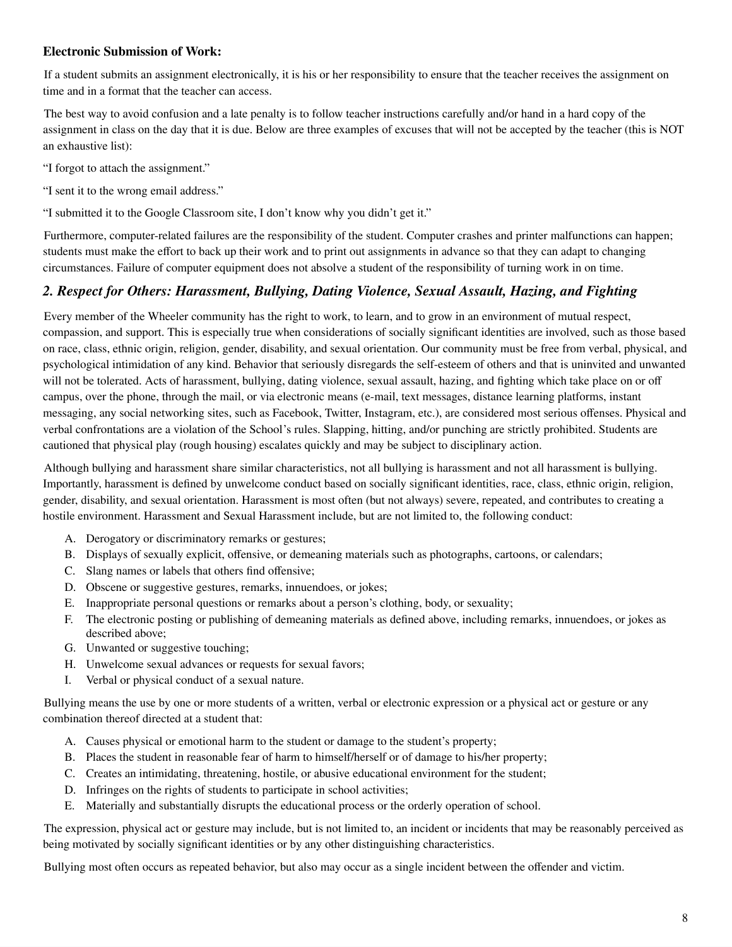#### **Electronic Submission of Work:**

If a student submits an assignment electronically, it is his or her responsibility to ensure that the teacher receives the assignment on time and in a format that the teacher can access.

The best way to avoid confusion and a late penalty is to follow teacher instructions carefully and/or hand in a hard copy of the assignment in class on the day that it is due. Below are three examples of excuses that will not be accepted by the teacher (this is NOT an exhaustive list):

"I forgot to attach the assignment."

"I sent it to the wrong email address."

"I submitted it to the Google Classroom site, I don't know why you didn't get it."

Furthermore, computer-related failures are the responsibility of the student. Computer crashes and printer malfunctions can happen; students must make the effort to back up their work and to print out assignments in advance so that they can adapt to changing circumstances. Failure of computer equipment does not absolve a student of the responsibility of turning work in on time.

#### *2. Respect for Others: Harassment, Bullying, Dating Violence, Sexual Assault, Hazing, and Fighting*

Every member of the Wheeler community has the right to work, to learn, and to grow in an environment of mutual respect, compassion, and support. This is especially true when considerations of socially significant identities are involved, such as those based on race, class, ethnic origin, religion, gender, disability, and sexual orientation. Our community must be free from verbal, physical, and psychological intimidation of any kind. Behavior that seriously disregards the self-esteem of others and that is uninvited and unwanted will not be tolerated. Acts of harassment, bullying, dating violence, sexual assault, hazing, and fighting which take place on or off campus, over the phone, through the mail, or via electronic means (e-mail, text messages, distance learning platforms, instant messaging, any social networking sites, such as Facebook, Twitter, Instagram, etc.), are considered most serious offenses. Physical and verbal confrontations are a violation of the School's rules. Slapping, hitting, and/or punching are strictly prohibited. Students are cautioned that physical play (rough housing) escalates quickly and may be subject to disciplinary action.

Although bullying and harassment share similar characteristics, not all bullying is harassment and not all harassment is bullying. Importantly, harassment is defined by unwelcome conduct based on socially significant identities, race, class, ethnic origin, religion, gender, disability, and sexual orientation. Harassment is most often (but not always) severe, repeated, and contributes to creating a hostile environment. Harassment and Sexual Harassment include, but are not limited to, the following conduct:

- A. Derogatory or discriminatory remarks or gestures;
- B. Displays of sexually explicit, offensive, or demeaning materials such as photographs, cartoons, or calendars;
- C. Slang names or labels that others find offensive;
- D. Obscene or suggestive gestures, remarks, innuendoes, or jokes;
- E. Inappropriate personal questions or remarks about a person's clothing, body, or sexuality;
- F. The electronic posting or publishing of demeaning materials as defined above, including remarks, innuendoes, or jokes as described above;
- G. Unwanted or suggestive touching;
- H. Unwelcome sexual advances or requests for sexual favors;
- I. Verbal or physical conduct of a sexual nature.

Bullying means the use by one or more students of a written, verbal or electronic expression or a physical act or gesture or any combination thereof directed at a student that:

- A. Causes physical or emotional harm to the student or damage to the student's property;
- B. Places the student in reasonable fear of harm to himself/herself or of damage to his/her property;
- C. Creates an intimidating, threatening, hostile, or abusive educational environment for the student;
- D. Infringes on the rights of students to participate in school activities;
- E. Materially and substantially disrupts the educational process or the orderly operation of school.

The expression, physical act or gesture may include, but is not limited to, an incident or incidents that may be reasonably perceived as being motivated by socially significant identities or by any other distinguishing characteristics.

Bullying most often occurs as repeated behavior, but also may occur as a single incident between the offender and victim.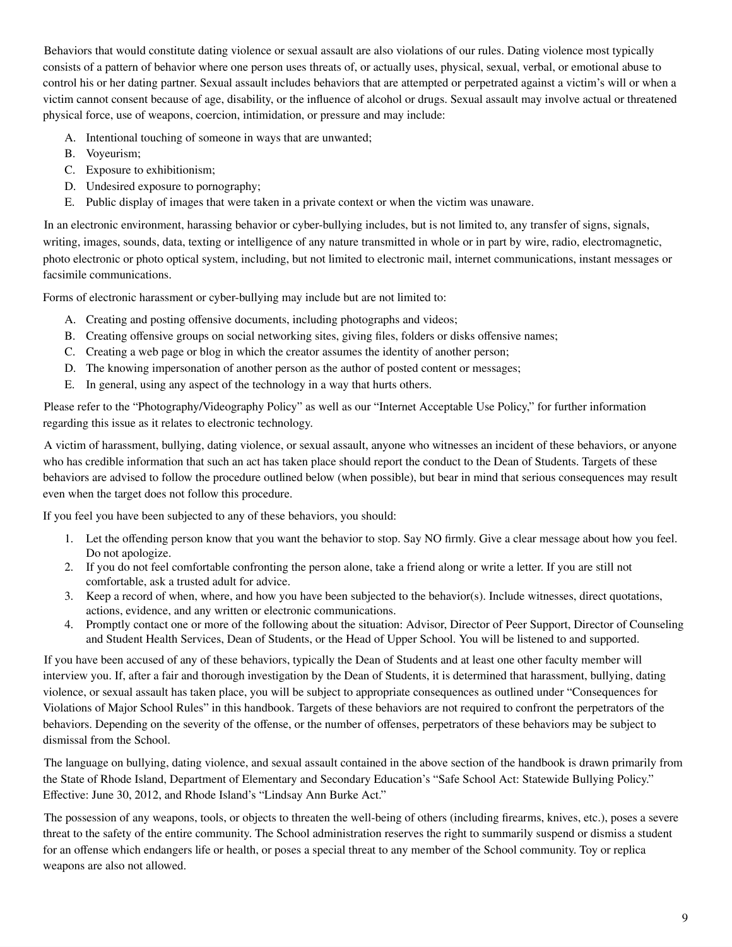Behaviors that would constitute dating violence or sexual assault are also violations of our rules. Dating violence most typically consists of a pattern of behavior where one person uses threats of, or actually uses, physical, sexual, verbal, or emotional abuse to control his or her dating partner. Sexual assault includes behaviors that are attempted or perpetrated against a victim's will or when a victim cannot consent because of age, disability, or the influence of alcohol or drugs. Sexual assault may involve actual or threatened physical force, use of weapons, coercion, intimidation, or pressure and may include:

- A. Intentional touching of someone in ways that are unwanted;
- B. Voyeurism;
- C. Exposure to exhibitionism;
- D. Undesired exposure to pornography;
- E. Public display of images that were taken in a private context or when the victim was unaware.

In an electronic environment, harassing behavior or cyber-bullying includes, but is not limited to, any transfer of signs, signals, writing, images, sounds, data, texting or intelligence of any nature transmitted in whole or in part by wire, radio, electromagnetic, photo electronic or photo optical system, including, but not limited to electronic mail, internet communications, instant messages or facsimile communications.

Forms of electronic harassment or cyber-bullying may include but are not limited to:

- A. Creating and posting offensive documents, including photographs and videos;
- B. Creating offensive groups on social networking sites, giving files, folders or disks offensive names;
- C. Creating a web page or blog in which the creator assumes the identity of another person;
- D. The knowing impersonation of another person as the author of posted content or messages;
- E. In general, using any aspect of the technology in a way that hurts others.

Please refer to the "Photography/Videography Policy" as well as our "Internet Acceptable Use Policy," for further information regarding this issue as it relates to electronic technology.

A victim of harassment, bullying, dating violence, or sexual assault, anyone who witnesses an incident of these behaviors, or anyone who has credible information that such an act has taken place should report the conduct to the Dean of Students. Targets of these behaviors are advised to follow the procedure outlined below (when possible), but bear in mind that serious consequences may result even when the target does not follow this procedure.

If you feel you have been subjected to any of these behaviors, you should:

- 1. Let the offending person know that you want the behavior to stop. Say NO firmly. Give a clear message about how you feel. Do not apologize.
- 2. If you do not feel comfortable confronting the person alone, take a friend along or write a letter. If you are still not comfortable, ask a trusted adult for advice.
- 3. Keep a record of when, where, and how you have been subjected to the behavior(s). Include witnesses, direct quotations, actions, evidence, and any written or electronic communications.
- 4. Promptly contact one or more of the following about the situation: Advisor, Director of Peer Support, Director of Counseling and Student Health Services, Dean of Students, or the Head of Upper School. You will be listened to and supported.

If you have been accused of any of these behaviors, typically the Dean of Students and at least one other faculty member will interview you. If, after a fair and thorough investigation by the Dean of Students, it is determined that harassment, bullying, dating violence, or sexual assault has taken place, you will be subject to appropriate consequences as outlined under "Consequences for Violations of Major School Rules" in this handbook. Targets of these behaviors are not required to confront the perpetrators of the behaviors. Depending on the severity of the offense, or the number of offenses, perpetrators of these behaviors may be subject to dismissal from the School.

The language on bullying, dating violence, and sexual assault contained in the above section of the handbook is drawn primarily from the State of Rhode Island, Department of Elementary and Secondary Education's "Safe School Act: Statewide Bullying Policy." Effective: June 30, 2012, and Rhode Island's "Lindsay Ann Burke Act."

The possession of any weapons, tools, or objects to threaten the well-being of others (including firearms, knives, etc.), poses a severe threat to the safety of the entire community. The School administration reserves the right to summarily suspend or dismiss a student for an offense which endangers life or health, or poses a special threat to any member of the School community. Toy or replica weapons are also not allowed.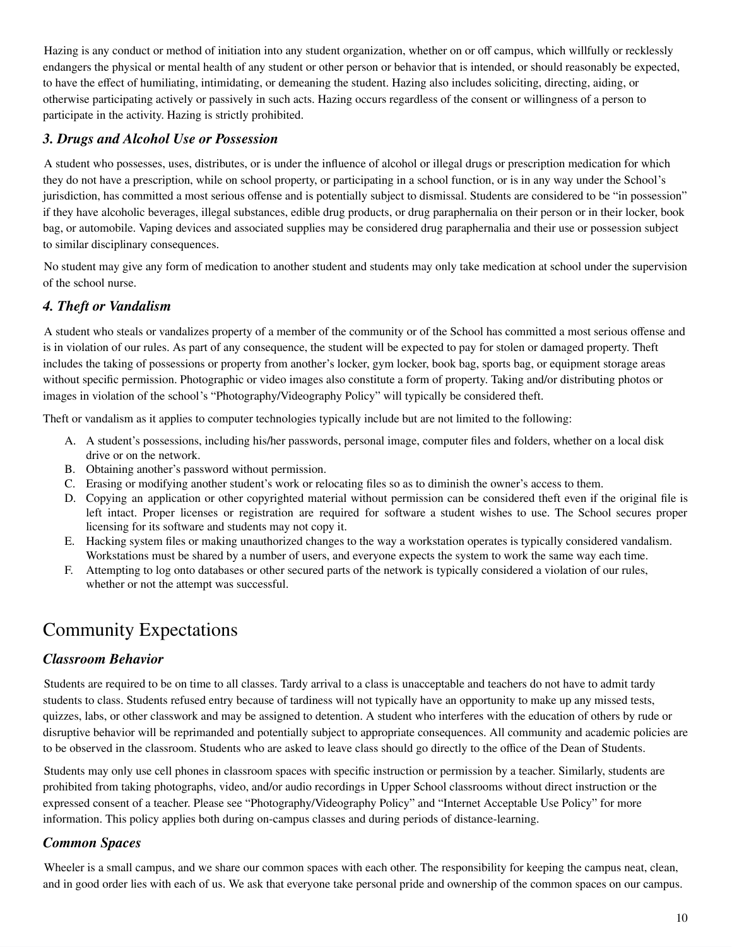Hazing is any conduct or method of initiation into any student organization, whether on or off campus, which willfully or recklessly endangers the physical or mental health of any student or other person or behavior that is intended, or should reasonably be expected, to have the effect of humiliating, intimidating, or demeaning the student. Hazing also includes soliciting, directing, aiding, or otherwise participating actively or passively in such acts. Hazing occurs regardless of the consent or willingness of a person to participate in the activity. Hazing is strictly prohibited.

#### *3. Drugs and Alcohol Use or Possession*

A student who possesses, uses, distributes, or is under the influence of alcohol or illegal drugs or prescription medication for which they do not have a prescription, while on school property, or participating in a school function, or is in any way under the School's jurisdiction, has committed a most serious offense and is potentially subject to dismissal. Students are considered to be "in possession" if they have alcoholic beverages, illegal substances, edible drug products, or drug paraphernalia on their person or in their locker, book bag, or automobile. Vaping devices and associated supplies may be considered drug paraphernalia and their use or possession subject to similar disciplinary consequences.

No student may give any form of medication to another student and students may only take medication at school under the supervision of the school nurse.

#### *4. Theft or Vandalism*

A student who steals or vandalizes property of a member of the community or of the School has committed a most serious offense and is in violation of our rules. As part of any consequence, the student will be expected to pay for stolen or damaged property. Theft includes the taking of possessions or property from another's locker, gym locker, book bag, sports bag, or equipment storage areas without specific permission. Photographic or video images also constitute a form of property. Taking and/or distributing photos or images in violation of the school's "Photography/Videography Policy" will typically be considered theft.

Theft or vandalism as it applies to computer technologies typically include but are not limited to the following:

- A. A student's possessions, including his/her passwords, personal image, computer files and folders, whether on a local disk drive or on the network.
- B. Obtaining another's password without permission.
- C. Erasing or modifying another student's work or relocating files so as to diminish the owner's access to them.
- D. Copying an application or other copyrighted material without permission can be considered theft even if the original file is left intact. Proper licenses or registration are required for software a student wishes to use. The School secures proper licensing for its software and students may not copy it.
- E. Hacking system files or making unauthorized changes to the way a workstation operates is typically considered vandalism. Workstations must be shared by a number of users, and everyone expects the system to work the same way each time.
- F. Attempting to log onto databases or other secured parts of the network is typically considered a violation of our rules, whether or not the attempt was successful.

### Community Expectations

#### *Classroom Behavior*

Students are required to be on time to all classes. Tardy arrival to a class is unacceptable and teachers do not have to admit tardy students to class. Students refused entry because of tardiness will not typically have an opportunity to make up any missed tests, quizzes, labs, or other classwork and may be assigned to detention. A student who interferes with the education of others by rude or disruptive behavior will be reprimanded and potentially subject to appropriate consequences. All community and academic policies are to be observed in the classroom. Students who are asked to leave class should go directly to the office of the Dean of Students.

Students may only use cell phones in classroom spaces with specific instruction or permission by a teacher. Similarly, students are prohibited from taking photographs, video, and/or audio recordings in Upper School classrooms without direct instruction or the expressed consent of a teacher. Please see "Photography/Videography Policy" and "Internet Acceptable Use Policy" for more information. This policy applies both during on-campus classes and during periods of distance-learning.

#### *Common Spaces*

Wheeler is a small campus, and we share our common spaces with each other. The responsibility for keeping the campus neat, clean, and in good order lies with each of us. We ask that everyone take personal pride and ownership of the common spaces on our campus.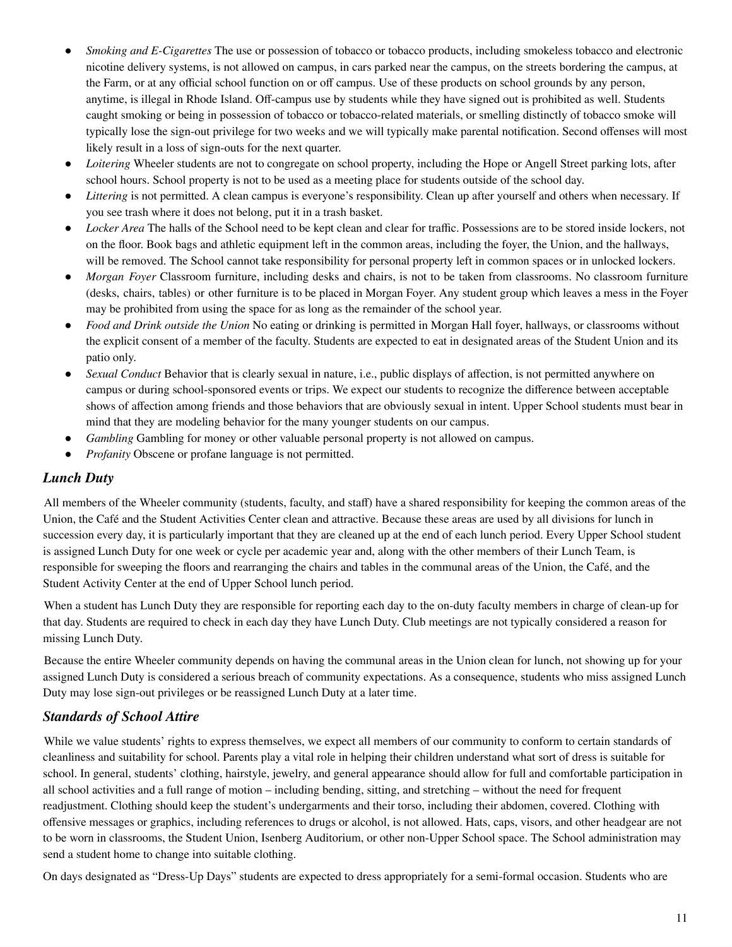- *Smoking and E-Cigarettes* The use or possession of tobacco or tobacco products, including smokeless tobacco and electronic nicotine delivery systems, is not allowed on campus, in cars parked near the campus, on the streets bordering the campus, at the Farm, or at any official school function on or off campus. Use of these products on school grounds by any person, anytime, is illegal in Rhode Island. Off-campus use by students while they have signed out is prohibited as well. Students caught smoking or being in possession of tobacco or tobacco-related materials, or smelling distinctly of tobacco smoke will typically lose the sign-out privilege for two weeks and we will typically make parental notification. Second offenses will most likely result in a loss of sign-outs for the next quarter.
- *Loitering* Wheeler students are not to congregate on school property, including the Hope or Angell Street parking lots, after school hours. School property is not to be used as a meeting place for students outside of the school day.
- *Littering* is not permitted. A clean campus is everyone's responsibility. Clean up after yourself and others when necessary. If you see trash where it does not belong, put it in a trash basket.
- *Locker Area* The halls of the School need to be kept clean and clear for traffic. Possessions are to be stored inside lockers, not on the floor. Book bags and athletic equipment left in the common areas, including the foyer, the Union, and the hallways, will be removed. The School cannot take responsibility for personal property left in common spaces or in unlocked lockers.
- *Morgan Foyer* Classroom furniture, including desks and chairs, is not to be taken from classrooms. No classroom furniture (desks, chairs, tables) or other furniture is to be placed in Morgan Foyer. Any student group which leaves a mess in the Foyer may be prohibited from using the space for as long as the remainder of the school year.
- *Food and Drink outside the Union* No eating or drinking is permitted in Morgan Hall foyer, hallways, or classrooms without the explicit consent of a member of the faculty. Students are expected to eat in designated areas of the Student Union and its patio only.
- *Sexual Conduct* Behavior that is clearly sexual in nature, i.e., public displays of affection, is not permitted anywhere on campus or during school-sponsored events or trips. We expect our students to recognize the difference between acceptable shows of affection among friends and those behaviors that are obviously sexual in intent. Upper School students must bear in mind that they are modeling behavior for the many younger students on our campus.
- *Gambling* Gambling for money or other valuable personal property is not allowed on campus.
- Profanity Obscene or profane language is not permitted.

#### *Lunch Duty*

All members of the Wheeler community (students, faculty, and staff) have a shared responsibility for keeping the common areas of the Union, the Café and the Student Activities Center clean and attractive. Because these areas are used by all divisions for lunch in succession every day, it is particularly important that they are cleaned up at the end of each lunch period. Every Upper School student is assigned Lunch Duty for one week or cycle per academic year and, along with the other members of their Lunch Team, is responsible for sweeping the floors and rearranging the chairs and tables in the communal areas of the Union, the Café, and the Student Activity Center at the end of Upper School lunch period.

When a student has Lunch Duty they are responsible for reporting each day to the on-duty faculty members in charge of clean-up for that day. Students are required to check in each day they have Lunch Duty. Club meetings are not typically considered a reason for missing Lunch Duty.

Because the entire Wheeler community depends on having the communal areas in the Union clean for lunch, not showing up for your assigned Lunch Duty is considered a serious breach of community expectations. As a consequence, students who miss assigned Lunch Duty may lose sign-out privileges or be reassigned Lunch Duty at a later time.

#### *Standards of School Attire*

While we value students' rights to express themselves, we expect all members of our community to conform to certain standards of cleanliness and suitability for school. Parents play a vital role in helping their children understand what sort of dress is suitable for school. In general, students' clothing, hairstyle, jewelry, and general appearance should allow for full and comfortable participation in all school activities and a full range of motion – including bending, sitting, and stretching – without the need for frequent readjustment. Clothing should keep the student's undergarments and their torso, including their abdomen, covered. Clothing with offensive messages or graphics, including references to drugs or alcohol, is not allowed. Hats, caps, visors, and other headgear are not to be worn in classrooms, the Student Union, Isenberg Auditorium, or other non-Upper School space. The School administration may send a student home to change into suitable clothing.

On days designated as "Dress-Up Days" students are expected to dress appropriately for a semi-formal occasion. Students who are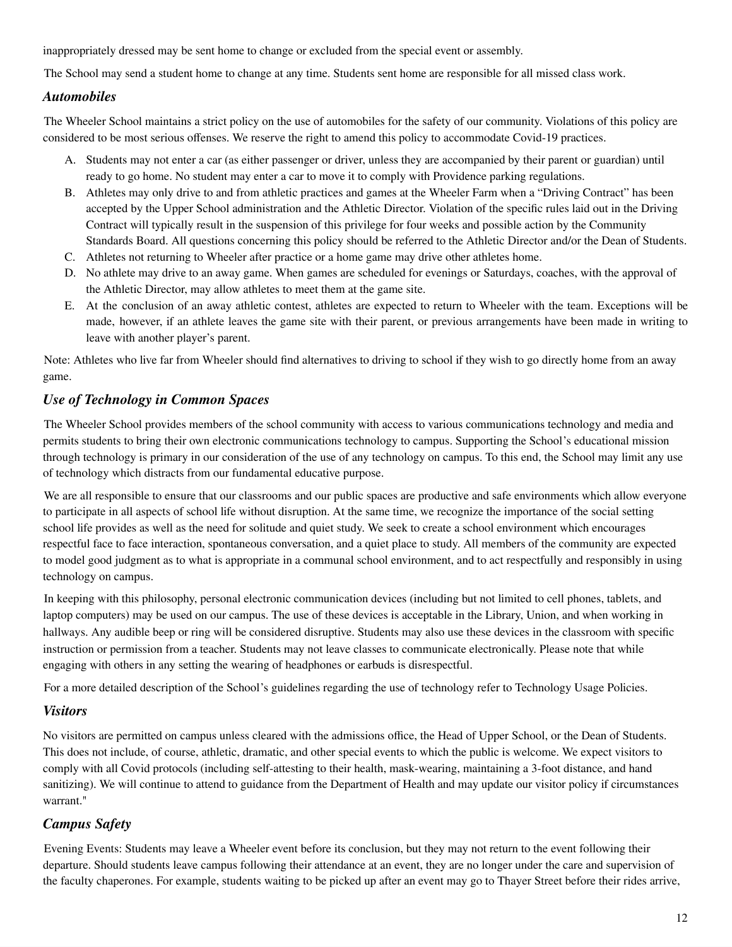inappropriately dressed may be sent home to change or excluded from the special event or assembly.

The School may send a student home to change at any time. Students sent home are responsible for all missed class work.

#### *Automobiles*

The Wheeler School maintains a strict policy on the use of automobiles for the safety of our community. Violations of this policy are considered to be most serious offenses. We reserve the right to amend this policy to accommodate Covid-19 practices.

- A. Students may not enter a car (as either passenger or driver, unless they are accompanied by their parent or guardian) until ready to go home. No student may enter a car to move it to comply with Providence parking regulations.
- B. Athletes may only drive to and from athletic practices and games at the Wheeler Farm when a "Driving Contract" has been accepted by the Upper School administration and the Athletic Director. Violation of the specific rules laid out in the Driving Contract will typically result in the suspension of this privilege for four weeks and possible action by the Community Standards Board. All questions concerning this policy should be referred to the Athletic Director and/or the Dean of Students.
- C. Athletes not returning to Wheeler after practice or a home game may drive other athletes home.
- D. No athlete may drive to an away game. When games are scheduled for evenings or Saturdays, coaches, with the approval of the Athletic Director, may allow athletes to meet them at the game site.
- E. At the conclusion of an away athletic contest, athletes are expected to return to Wheeler with the team. Exceptions will be made, however, if an athlete leaves the game site with their parent, or previous arrangements have been made in writing to leave with another player's parent.

Note: Athletes who live far from Wheeler should find alternatives to driving to school if they wish to go directly home from an away game.

#### *Use of Technology in Common Spaces*

The Wheeler School provides members of the school community with access to various communications technology and media and permits students to bring their own electronic communications technology to campus. Supporting the School's educational mission through technology is primary in our consideration of the use of any technology on campus. To this end, the School may limit any use of technology which distracts from our fundamental educative purpose.

We are all responsible to ensure that our classrooms and our public spaces are productive and safe environments which allow everyone to participate in all aspects of school life without disruption. At the same time, we recognize the importance of the social setting school life provides as well as the need for solitude and quiet study. We seek to create a school environment which encourages respectful face to face interaction, spontaneous conversation, and a quiet place to study. All members of the community are expected to model good judgment as to what is appropriate in a communal school environment, and to act respectfully and responsibly in using technology on campus.

In keeping with this philosophy, personal electronic communication devices (including but not limited to cell phones, tablets, and laptop computers) may be used on our campus. The use of these devices is acceptable in the Library, Union, and when working in hallways. Any audible beep or ring will be considered disruptive. Students may also use these devices in the classroom with specific instruction or permission from a teacher. Students may not leave classes to communicate electronically. Please note that while engaging with others in any setting the wearing of headphones or earbuds is disrespectful.

For a more detailed description of the School's guidelines regarding the use of technology refer to Technology Usage Policies.

#### *Visitors*

No visitors are permitted on campus unless cleared with the admissions office, the Head of Upper School, or the Dean of Students. This does not include, of course, athletic, dramatic, and other special events to which the public is welcome. We expect visitors to comply with all Covid protocols (including self-attesting to their health, mask-wearing, maintaining a 3-foot distance, and hand sanitizing). We will continue to attend to guidance from the Department of Health and may update our visitor policy if circumstances warrant."

#### *Campus Safety*

Evening Events: Students may leave a Wheeler event before its conclusion, but they may not return to the event following their departure. Should students leave campus following their attendance at an event, they are no longer under the care and supervision of the faculty chaperones. For example, students waiting to be picked up after an event may go to Thayer Street before their rides arrive,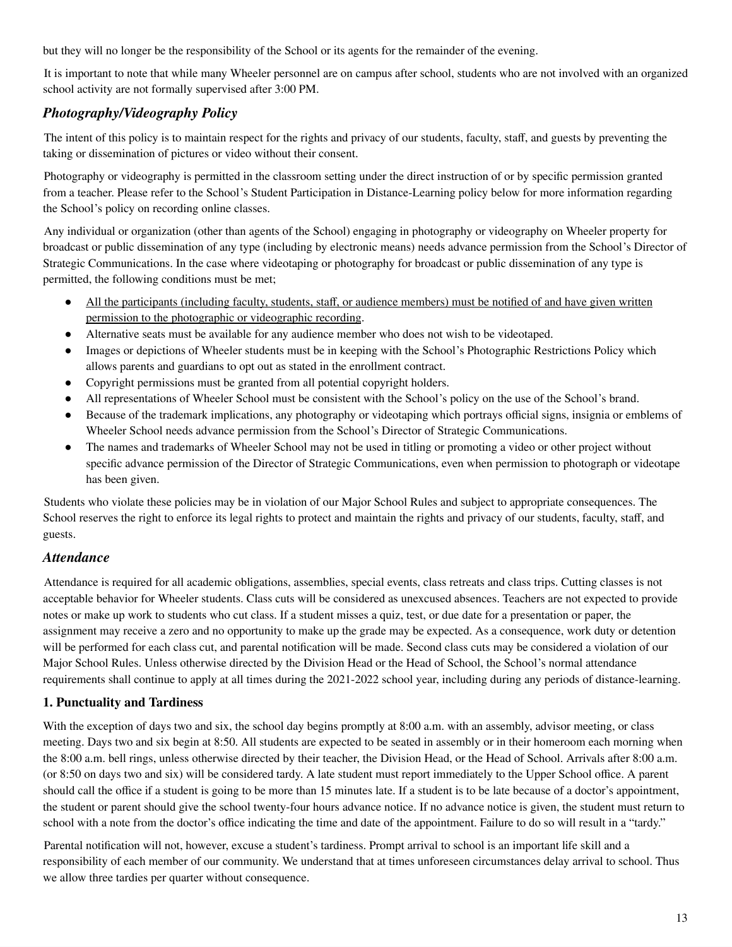but they will no longer be the responsibility of the School or its agents for the remainder of the evening.

It is important to note that while many Wheeler personnel are on campus after school, students who are not involved with an organized school activity are not formally supervised after 3:00 PM.

#### *Photography/Videography Policy*

The intent of this policy is to maintain respect for the rights and privacy of our students, faculty, staff, and guests by preventing the taking or dissemination of pictures or video without their consent.

Photography or videography is permitted in the classroom setting under the direct instruction of or by specific permission granted from a teacher. Please refer to the School's Student Participation in Distance-Learning policy below for more information regarding the School's policy on recording online classes.

Any individual or organization (other than agents of the School) engaging in photography or videography on Wheeler property for broadcast or public dissemination of any type (including by electronic means) needs advance permission from the School's Director of Strategic Communications. In the case where videotaping or photography for broadcast or public dissemination of any type is permitted, the following conditions must be met;

- All the participants (including faculty, students, staff, or audience members) must be notified of and have given written permission to the photographic or videographic recording.
- Alternative seats must be available for any audience member who does not wish to be videotaped.
- Images or depictions of Wheeler students must be in keeping with the School's Photographic Restrictions Policy which allows parents and guardians to opt out as stated in the enrollment contract.
- Copyright permissions must be granted from all potential copyright holders.
- All representations of Wheeler School must be consistent with the School's policy on the use of the School's brand.
- Because of the trademark implications, any photography or videotaping which portrays official signs, insignia or emblems of Wheeler School needs advance permission from the School's Director of Strategic Communications.
- The names and trademarks of Wheeler School may not be used in titling or promoting a video or other project without specific advance permission of the Director of Strategic Communications, even when permission to photograph or videotape has been given.

Students who violate these policies may be in violation of our Major School Rules and subject to appropriate consequences. The School reserves the right to enforce its legal rights to protect and maintain the rights and privacy of our students, faculty, staff, and guests.

#### *Attendance*

Attendance is required for all academic obligations, assemblies, special events, class retreats and class trips. Cutting classes is not acceptable behavior for Wheeler students. Class cuts will be considered as unexcused absences. Teachers are not expected to provide notes or make up work to students who cut class. If a student misses a quiz, test, or due date for a presentation or paper, the assignment may receive a zero and no opportunity to make up the grade may be expected. As a consequence, work duty or detention will be performed for each class cut, and parental notification will be made. Second class cuts may be considered a violation of our Major School Rules. Unless otherwise directed by the Division Head or the Head of School, the School's normal attendance requirements shall continue to apply at all times during the 2021-2022 school year, including during any periods of distance-learning.

#### **1. Punctuality and Tardiness**

With the exception of days two and six, the school day begins promptly at 8:00 a.m. with an assembly, advisor meeting, or class meeting. Days two and six begin at 8:50. All students are expected to be seated in assembly or in their homeroom each morning when the 8:00 a.m. bell rings, unless otherwise directed by their teacher, the Division Head, or the Head of School. Arrivals after 8:00 a.m. (or 8:50 on days two and six) will be considered tardy. A late student must report immediately to the Upper School office. A parent should call the office if a student is going to be more than 15 minutes late. If a student is to be late because of a doctor's appointment, the student or parent should give the school twenty-four hours advance notice. If no advance notice is given, the student must return to school with a note from the doctor's office indicating the time and date of the appointment. Failure to do so will result in a "tardy."

Parental notification will not, however, excuse a student's tardiness. Prompt arrival to school is an important life skill and a responsibility of each member of our community. We understand that at times unforeseen circumstances delay arrival to school. Thus we allow three tardies per quarter without consequence.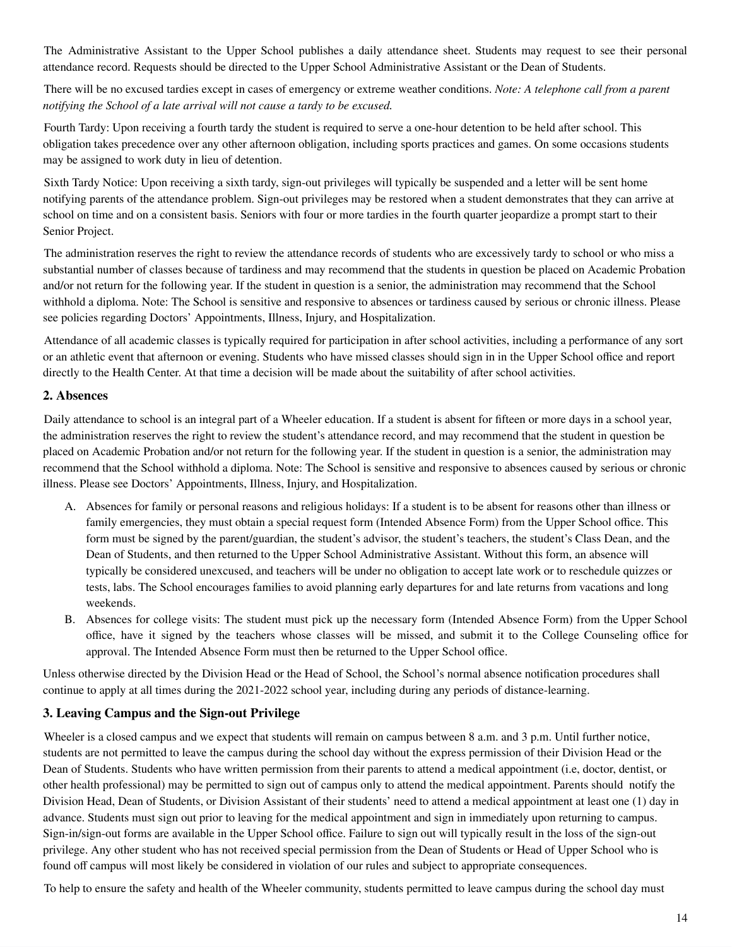The Administrative Assistant to the Upper School publishes a daily attendance sheet. Students may request to see their personal attendance record. Requests should be directed to the Upper School Administrative Assistant or the Dean of Students.

There will be no excused tardies except in cases of emergency or extreme weather conditions. *Note: A telephone call from a parent notifying the School of a late arrival will not cause a tardy to be excused.*

Fourth Tardy: Upon receiving a fourth tardy the student is required to serve a one-hour detention to be held after school. This obligation takes precedence over any other afternoon obligation, including sports practices and games. On some occasions students may be assigned to work duty in lieu of detention.

Sixth Tardy Notice: Upon receiving a sixth tardy, sign-out privileges will typically be suspended and a letter will be sent home notifying parents of the attendance problem. Sign-out privileges may be restored when a student demonstrates that they can arrive at school on time and on a consistent basis. Seniors with four or more tardies in the fourth quarter jeopardize a prompt start to their Senior Project.

The administration reserves the right to review the attendance records of students who are excessively tardy to school or who miss a substantial number of classes because of tardiness and may recommend that the students in question be placed on Academic Probation and/or not return for the following year. If the student in question is a senior, the administration may recommend that the School withhold a diploma. Note: The School is sensitive and responsive to absences or tardiness caused by serious or chronic illness. Please see policies regarding Doctors' Appointments, Illness, Injury, and Hospitalization.

Attendance of all academic classes is typically required for participation in after school activities, including a performance of any sort or an athletic event that afternoon or evening. Students who have missed classes should sign in in the Upper School office and report directly to the Health Center. At that time a decision will be made about the suitability of after school activities.

#### **2. Absences**

Daily attendance to school is an integral part of a Wheeler education. If a student is absent for fifteen or more days in a school year, the administration reserves the right to review the student's attendance record, and may recommend that the student in question be placed on Academic Probation and/or not return for the following year. If the student in question is a senior, the administration may recommend that the School withhold a diploma. Note: The School is sensitive and responsive to absences caused by serious or chronic illness. Please see Doctors' Appointments, Illness, Injury, and Hospitalization.

- A. Absences for family or personal reasons and religious holidays: If a student is to be absent for reasons other than illness or family emergencies, they must obtain a special request form (Intended Absence Form) from the Upper School office. This form must be signed by the parent/guardian, the student's advisor, the student's teachers, the student's Class Dean, and the Dean of Students, and then returned to the Upper School Administrative Assistant. Without this form, an absence will typically be considered unexcused, and teachers will be under no obligation to accept late work or to reschedule quizzes or tests, labs. The School encourages families to avoid planning early departures for and late returns from vacations and long weekends.
- B. Absences for college visits: The student must pick up the necessary form (Intended Absence Form) from the Upper School office, have it signed by the teachers whose classes will be missed, and submit it to the College Counseling office for approval. The Intended Absence Form must then be returned to the Upper School office.

Unless otherwise directed by the Division Head or the Head of School, the School's normal absence notification procedures shall continue to apply at all times during the 2021-2022 school year, including during any periods of distance-learning.

#### **3. Leaving Campus and the Sign-out Privilege**

Wheeler is a closed campus and we expect that students will remain on campus between 8 a.m. and 3 p.m. Until further notice, students are not permitted to leave the campus during the school day without the express permission of their Division Head or the Dean of Students. Students who have written permission from their parents to attend a medical appointment (i.e, doctor, dentist, or other health professional) may be permitted to sign out of campus only to attend the medical appointment. Parents should notify the Division Head, Dean of Students, or Division Assistant of their students' need to attend a medical appointment at least one (1) day in advance. Students must sign out prior to leaving for the medical appointment and sign in immediately upon returning to campus. Sign-in/sign-out forms are available in the Upper School office. Failure to sign out will typically result in the loss of the sign-out privilege. Any other student who has not received special permission from the Dean of Students or Head of Upper School who is found off campus will most likely be considered in violation of our rules and subject to appropriate consequences.

To help to ensure the safety and health of the Wheeler community, students permitted to leave campus during the school day must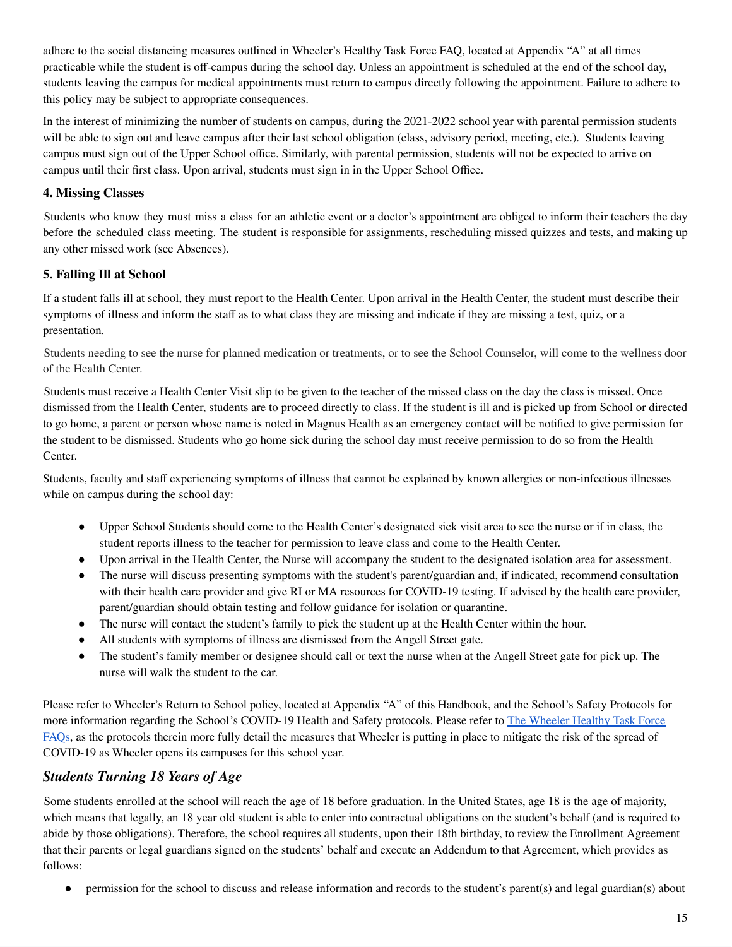adhere to the social distancing measures outlined in Wheeler's Healthy Task Force FAQ, located at Appendix "A" at all times practicable while the student is off-campus during the school day. Unless an appointment is scheduled at the end of the school day, students leaving the campus for medical appointments must return to campus directly following the appointment. Failure to adhere to this policy may be subject to appropriate consequences.

In the interest of minimizing the number of students on campus, during the 2021-2022 school year with parental permission students will be able to sign out and leave campus after their last school obligation (class, advisory period, meeting, etc.). Students leaving campus must sign out of the Upper School office. Similarly, with parental permission, students will not be expected to arrive on campus until their first class. Upon arrival, students must sign in in the Upper School Office.

#### **4. Missing Classes**

Students who know they must miss a class for an athletic event or a doctor's appointment are obliged to inform their teachers the day before the scheduled class meeting. The student is responsible for assignments, rescheduling missed quizzes and tests, and making up any other missed work (see Absences).

#### **5. Falling Ill at School**

If a student falls ill at school, they must report to the Health Center. Upon arrival in the Health Center, the student must describe their symptoms of illness and inform the staff as to what class they are missing and indicate if they are missing a test, quiz, or a presentation.

Students needing to see the nurse for planned medication or treatments, or to see the School Counselor, will come to the wellness door of the Health Center.

Students must receive a Health Center Visit slip to be given to the teacher of the missed class on the day the class is missed. Once dismissed from the Health Center, students are to proceed directly to class. If the student is ill and is picked up from School or directed to go home, a parent or person whose name is noted in Magnus Health as an emergency contact will be notified to give permission for the student to be dismissed. Students who go home sick during the school day must receive permission to do so from the Health Center.

Students, faculty and staff experiencing symptoms of illness that cannot be explained by known allergies or non-infectious illnesses while on campus during the school day:

- Upper School Students should come to the Health Center's designated sick visit area to see the nurse or if in class, the student reports illness to the teacher for permission to leave class and come to the Health Center.
- Upon arrival in the Health Center, the Nurse will accompany the student to the designated isolation area for assessment.
- The nurse will discuss presenting symptoms with the student's parent/guardian and, if indicated, recommend consultation with their health care provider and give RI or MA resources for COVID-19 testing. If advised by the health care provider, parent/guardian should obtain testing and follow guidance for isolation or quarantine.
- The nurse will contact the student's family to pick the student up at the Health Center within the hour.
- All students with symptoms of illness are dismissed from the Angell Street gate.
- The student's family member or designee should call or text the nurse when at the Angell Street gate for pick up. The nurse will walk the student to the car.

Please refer to Wheeler's Return to School policy, located at Appendix "A" of this Handbook, and the School's Safety Protocols for more information regarding the School's COVID-19 Health and Safety protocols. Please refer to The [Wheeler](https://docs.google.com/document/d/1qeqgOO2k5WJqVPGK1jX6QcPSy458TV59guR7jWBCjDg/edit?usp=sharing) Healthy Task Force [FAQs](https://docs.google.com/document/d/1qeqgOO2k5WJqVPGK1jX6QcPSy458TV59guR7jWBCjDg/edit?usp=sharing), as the protocols therein more fully detail the measures that Wheeler is putting in place to mitigate the risk of the spread of COVID-19 as Wheeler opens its campuses for this school year.

#### *Students Turning 18 Years of Age*

Some students enrolled at the school will reach the age of 18 before graduation. In the United States, age 18 is the age of majority, which means that legally, an 18 year old student is able to enter into contractual obligations on the student's behalf (and is required to abide by those obligations). Therefore, the school requires all students, upon their 18th birthday, to review the Enrollment Agreement that their parents or legal guardians signed on the students' behalf and execute an Addendum to that Agreement, which provides as follows:

permission for the school to discuss and release information and records to the student's parent(s) and legal guardian(s) about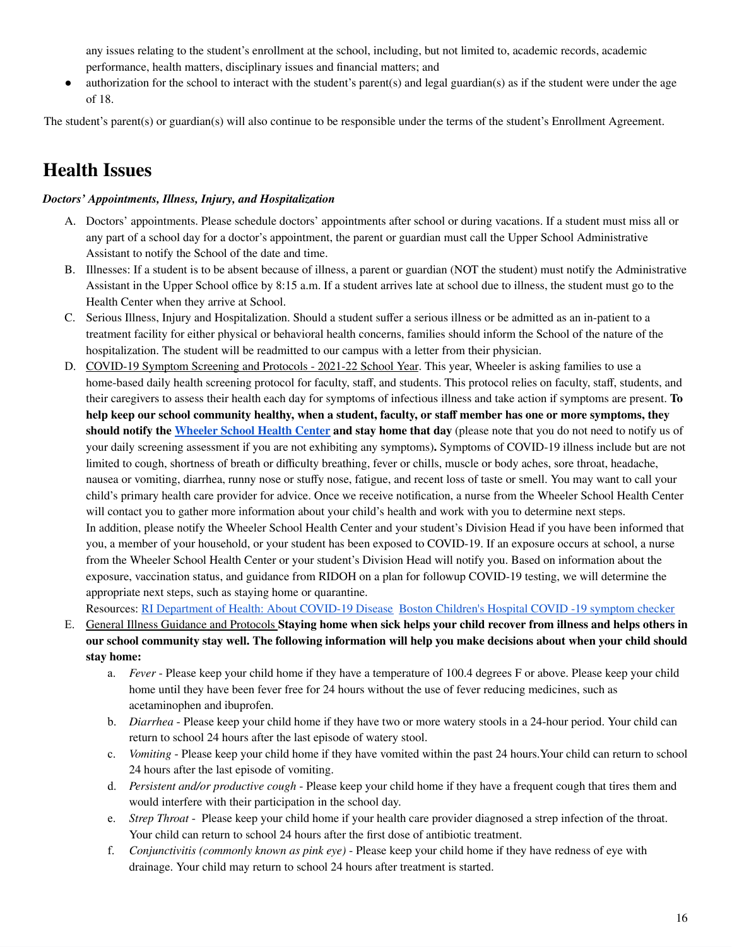any issues relating to the student's enrollment at the school, including, but not limited to, academic records, academic performance, health matters, disciplinary issues and financial matters; and

 $\bullet$  authorization for the school to interact with the student's parent(s) and legal guardian(s) as if the student were under the age of 18.

The student's parent(s) or guardian(s) will also continue to be responsible under the terms of the student's Enrollment Agreement.

### <span id="page-15-0"></span>**Health Issues**

#### *Doctors' Appointments, Illness, Injury, and Hospitalization*

- A. Doctors' appointments. Please schedule doctors' appointments after school or during vacations. If a student must miss all or any part of a school day for a doctor's appointment, the parent or guardian must call the Upper School Administrative Assistant to notify the School of the date and time.
- B. Illnesses: If a student is to be absent because of illness, a parent or guardian (NOT the student) must notify the Administrative Assistant in the Upper School office by 8:15 a.m. If a student arrives late at school due to illness, the student must go to the Health Center when they arrive at School.
- C. Serious Illness, Injury and Hospitalization. Should a student suffer a serious illness or be admitted as an in-patient to a treatment facility for either physical or behavioral health concerns, families should inform the School of the nature of the hospitalization. The student will be readmitted to our campus with a letter from their physician.
- D. COVID-19 Symptom Screening and Protocols 2021-22 School Year. This year, Wheeler is asking families to use a home-based daily health screening protocol for faculty, staff, and students. This protocol relies on faculty, staff, students, and their caregivers to assess their health each day for symptoms of infectious illness and take action if symptoms are present. **To** help keep our school community healthy, when a student, faculty, or staff member has one or more symptoms, they **should notify the [Wheeler](mailto:healthcenter@wheelergmail.org) School Health Center and stay home that day** (please note that you do not need to notify us of your daily screening assessment if you are not exhibiting any symptoms)**.** Symptoms of COVID-19 illness include but are not limited to cough, shortness of breath or difficulty breathing, fever or chills, muscle or body aches, sore throat, headache, nausea or vomiting, diarrhea, runny nose or stuffy nose, fatigue, and recent loss of taste or smell. You may want to call your child's primary health care provider for advice. Once we receive notification, a nurse from the Wheeler School Health Center will contact you to gather more information about your child's health and work with you to determine next steps. In addition, please notify the Wheeler School Health Center and your student's Division Head if you have been informed that you, a member of your household, or your student has been exposed to COVID-19. If an exposure occurs at school, a nurse from the Wheeler School Health Center or your student's Division Head will notify you. Based on information about the exposure, vaccination status, and guidance from RIDOH on a plan for followup COVID-19 testing, we will determine the appropriate next steps, such as staying home or quarantine.

Resources: RI [Department](https://covid.ri.gov/covid-19-prevention/about-covid-19-disease) of Health: About COVID-19 Diseas[e](https://covid.ri.gov/covid-19-prevention/about-covid-19-disease) Boston Children's Hospital COVID -19 symptom checker

- E. General Illness Guidance and Protocols **Staying home when sick helps your child recover from illness and helps others in** our school community stay well. The following information will help you make decisions about when your child should **stay home:**
	- a. *Fever* Please keep your child home if they have a temperature of 100.4 degrees F or above. Please keep your child home until they have been fever free for 24 hours without the use of fever reducing medicines, such as acetaminophen and ibuprofen.
	- b. *Diarrhea* Please keep your child home if they have two or more watery stools in a 24-hour period. Your child can return to school 24 hours after the last episode of watery stool.
	- c. *Vomiting* Please keep your child home if they have vomited within the past 24 hours.Your child can return to school 24 hours after the last episode of vomiting.
	- d. *Persistent and/or productive cough* Please keep your child home if they have a frequent cough that tires them and would interfere with their participation in the school day.
	- e. *Strep Throat* Please keep your child home if your health care provider diagnosed a strep infection of the throat. Your child can return to school 24 hours after the first dose of antibiotic treatment.
	- f. *Conjunctivitis (commonly known as pink eye)* Please keep your child home if they have redness of eye with drainage. Your child may return to school 24 hours after treatment is started.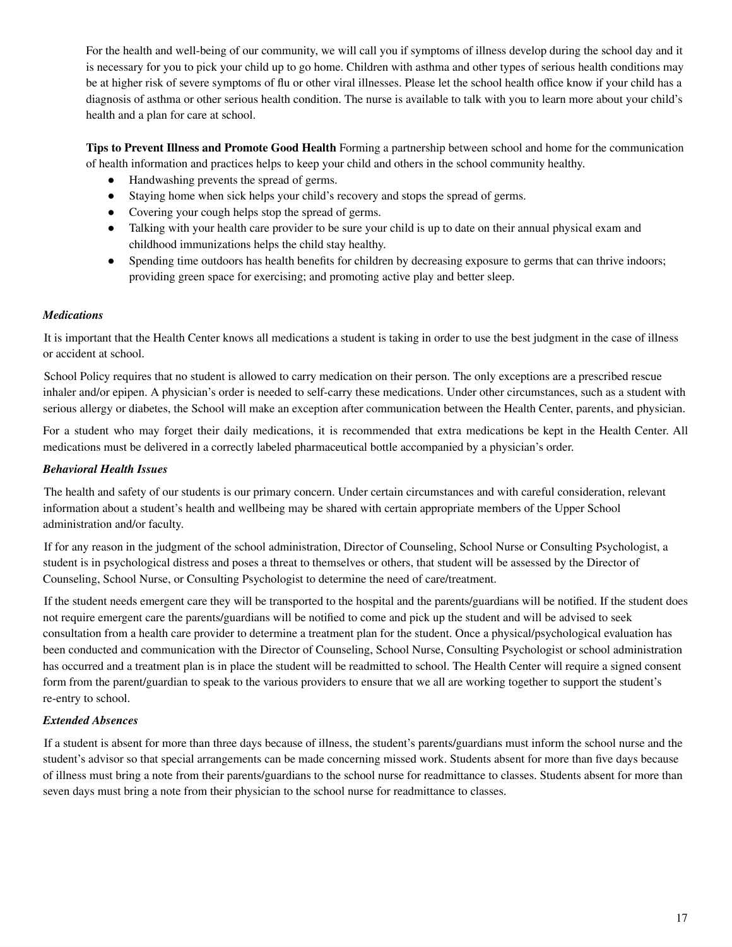For the health and well-being of our community, we will call you if symptoms of illness develop during the school day and it is necessary for you to pick your child up to go home. Children with asthma and other types of serious health conditions may be at higher risk of severe symptoms of flu or other viral illnesses. Please let the school health office know if your child has a diagnosis of asthma or other serious health condition. The nurse is available to talk with you to learn more about your child's health and a plan for care at school.

**Tips to Prevent Illness and Promote Good Health** Forming a partnership between school and home for the communication of health information and practices helps to keep your child and others in the school community healthy.

- Handwashing prevents the spread of germs.
- Staying home when sick helps your child's recovery and stops the spread of germs.
- Covering your cough helps stop the spread of germs.
- Talking with your health care provider to be sure your child is up to date on their annual physical exam and childhood immunizations helps the child stay healthy.
- Spending time outdoors has health benefits for children by decreasing exposure to germs that can thrive indoors; providing green space for exercising; and promoting active play and better sleep.

#### *Medications*

It is important that the Health Center knows all medications a student is taking in order to use the best judgment in the case of illness or accident at school.

School Policy requires that no student is allowed to carry medication on their person. The only exceptions are a prescribed rescue inhaler and/or epipen. A physician's order is needed to self-carry these medications. Under other circumstances, such as a student with serious allergy or diabetes, the School will make an exception after communication between the Health Center, parents, and physician.

For a student who may forget their daily medications, it is recommended that extra medications be kept in the Health Center. All medications must be delivered in a correctly labeled pharmaceutical bottle accompanied by a physician's order.

#### *Behavioral Health Issues*

The health and safety of our students is our primary concern. Under certain circumstances and with careful consideration, relevant information about a student's health and wellbeing may be shared with certain appropriate members of the Upper School administration and/or faculty.

If for any reason in the judgment of the school administration, Director of Counseling, School Nurse or Consulting Psychologist, a student is in psychological distress and poses a threat to themselves or others, that student will be assessed by the Director of Counseling, School Nurse, or Consulting Psychologist to determine the need of care/treatment.

If the student needs emergent care they will be transported to the hospital and the parents/guardians will be notified. If the student does not require emergent care the parents/guardians will be notified to come and pick up the student and will be advised to seek consultation from a health care provider to determine a treatment plan for the student. Once a physical/psychological evaluation has been conducted and communication with the Director of Counseling, School Nurse, Consulting Psychologist or school administration has occurred and a treatment plan is in place the student will be readmitted to school. The Health Center will require a signed consent form from the parent/guardian to speak to the various providers to ensure that we all are working together to support the student's re-entry to school.

#### *Extended Absences*

<span id="page-16-0"></span>If a student is absent for more than three days because of illness, the student's parents/guardians must inform the school nurse and the student's advisor so that special arrangements can be made concerning missed work. Students absent for more than five days because of illness must bring a note from their parents/guardians to the school nurse for readmittance to classes. Students absent for more than seven days must bring a note from their physician to the school nurse for readmittance to classes.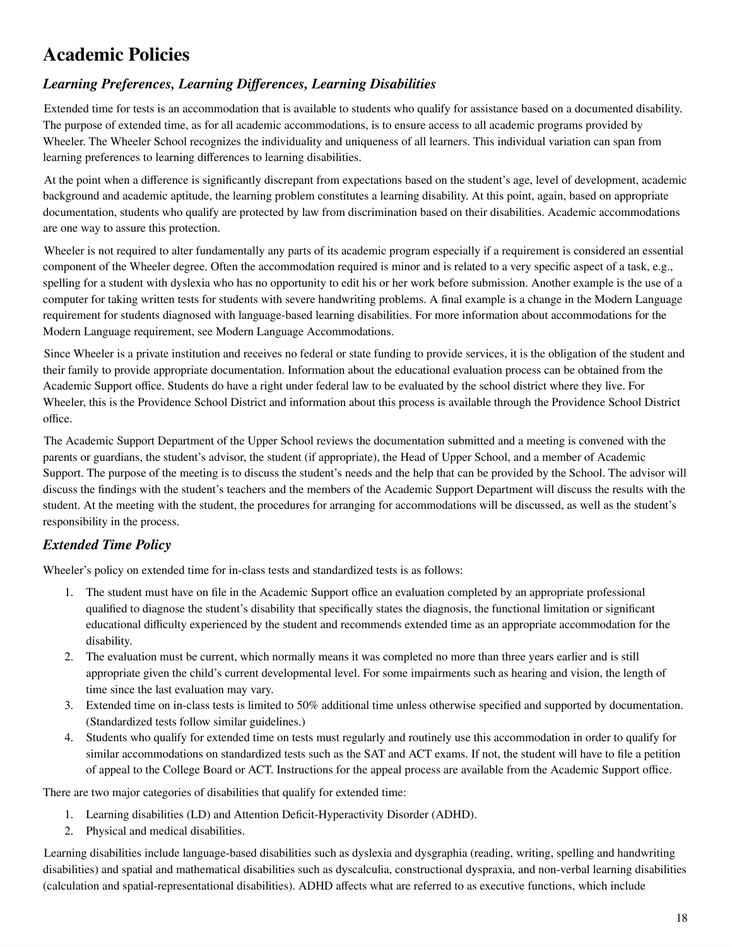### **Academic Policies**

### *Learning Preferences, Learning Differences, Learning Disabilities*

Extended time for tests is an accommodation that is available to students who qualify for assistance based on a documented disability. The purpose of extended time, as for all academic accommodations, is to ensure access to all academic programs provided by Wheeler. The Wheeler School recognizes the individuality and uniqueness of all learners. This individual variation can span from learning preferences to learning differences to learning disabilities.

At the point when a difference is significantly discrepant from expectations based on the student's age, level of development, academic background and academic aptitude, the learning problem constitutes a learning disability. At this point, again, based on appropriate documentation, students who qualify are protected by law from discrimination based on their disabilities. Academic accommodations are one way to assure this protection.

Wheeler is not required to alter fundamentally any parts of its academic program especially if a requirement is considered an essential component of the Wheeler degree. Often the accommodation required is minor and is related to a very specific aspect of a task, e.g., spelling for a student with dyslexia who has no opportunity to edit his or her work before submission. Another example is the use of a computer for taking written tests for students with severe handwriting problems. A final example is a change in the Modern Language requirement for students diagnosed with language-based learning disabilities. For more information about accommodations for the Modern Language requirement, see Modern Language Accommodations.

Since Wheeler is a private institution and receives no federal or state funding to provide services, it is the obligation of the student and their family to provide appropriate documentation. Information about the educational evaluation process can be obtained from the Academic Support office. Students do have a right under federal law to be evaluated by the school district where they live. For Wheeler, this is the Providence School District and information about this process is available through the Providence School District office.

The Academic Support Department of the Upper School reviews the documentation submitted and a meeting is convened with the parents or guardians, the student's advisor, the student (if appropriate), the Head of Upper School, and a member of Academic Support. The purpose of the meeting is to discuss the student's needs and the help that can be provided by the School. The advisor will discuss the findings with the student's teachers and the members of the Academic Support Department will discuss the results with the student. At the meeting with the student, the procedures for arranging for accommodations will be discussed, as well as the student's responsibility in the process.

#### *Extended Time Policy*

Wheeler's policy on extended time for in-class tests and standardized tests is as follows:

- 1. The student must have on file in the Academic Support office an evaluation completed by an appropriate professional qualified to diagnose the student's disability that specifically states the diagnosis, the functional limitation or significant educational difficulty experienced by the student and recommends extended time as an appropriate accommodation for the disability.
- 2. The evaluation must be current, which normally means it was completed no more than three years earlier and is still appropriate given the child's current developmental level. For some impairments such as hearing and vision, the length of time since the last evaluation may vary.
- 3. Extended time on in-class tests is limited to 50% additional time unless otherwise specified and supported by documentation. (Standardized tests follow similar guidelines.)
- 4. Students who qualify for extended time on tests must regularly and routinely use this accommodation in order to qualify for similar accommodations on standardized tests such as the SAT and ACT exams. If not, the student will have to file a petition of appeal to the College Board or ACT. Instructions for the appeal process are available from the Academic Support office.

There are two major categories of disabilities that qualify for extended time:

- 1. Learning disabilities (LD) and Attention Deficit-Hyperactivity Disorder (ADHD).
- 2. Physical and medical disabilities.

Learning disabilities include language-based disabilities such as dyslexia and dysgraphia (reading, writing, spelling and handwriting disabilities) and spatial and mathematical disabilities such as dyscalculia, constructional dyspraxia, and non-verbal learning disabilities (calculation and spatial-representational disabilities). ADHD affects what are referred to as executive functions, which include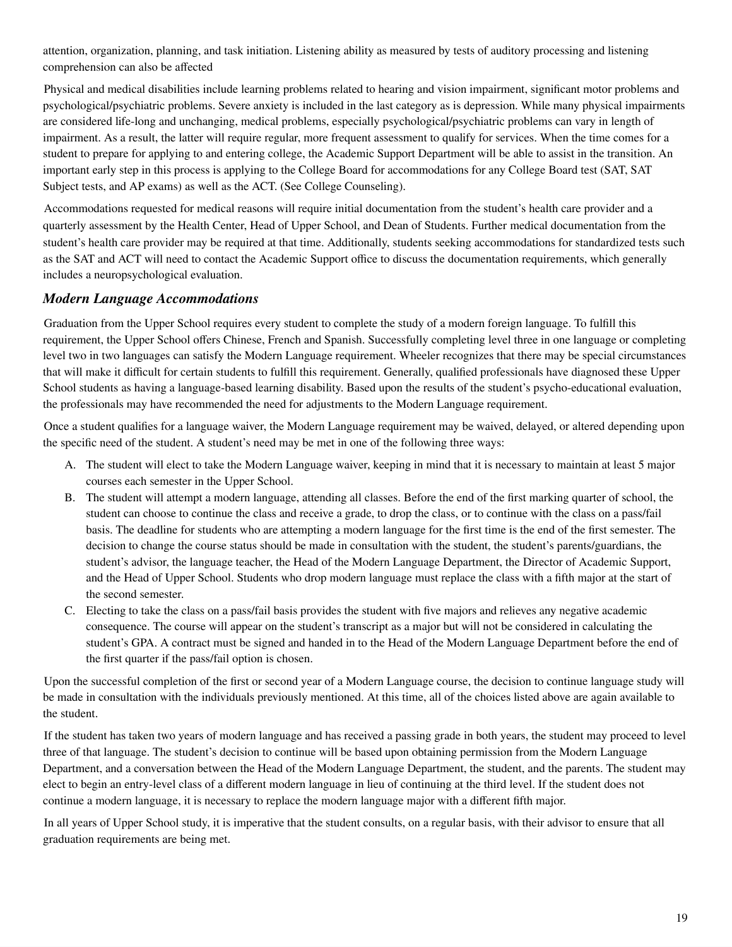attention, organization, planning, and task initiation. Listening ability as measured by tests of auditory processing and listening comprehension can also be affected

Physical and medical disabilities include learning problems related to hearing and vision impairment, significant motor problems and psychological/psychiatric problems. Severe anxiety is included in the last category as is depression. While many physical impairments are considered life-long and unchanging, medical problems, especially psychological/psychiatric problems can vary in length of impairment. As a result, the latter will require regular, more frequent assessment to qualify for services. When the time comes for a student to prepare for applying to and entering college, the Academic Support Department will be able to assist in the transition. An important early step in this process is applying to the College Board for accommodations for any College Board test (SAT, SAT Subject tests, and AP exams) as well as the ACT. (See College Counseling).

Accommodations requested for medical reasons will require initial documentation from the student's health care provider and a quarterly assessment by the Health Center, Head of Upper School, and Dean of Students. Further medical documentation from the student's health care provider may be required at that time. Additionally, students seeking accommodations for standardized tests such as the SAT and ACT will need to contact the Academic Support office to discuss the documentation requirements, which generally includes a neuropsychological evaluation.

#### *Modern Language Accommodations*

Graduation from the Upper School requires every student to complete the study of a modern foreign language. To fulfill this requirement, the Upper School offers Chinese, French and Spanish. Successfully completing level three in one language or completing level two in two languages can satisfy the Modern Language requirement. Wheeler recognizes that there may be special circumstances that will make it difficult for certain students to fulfill this requirement. Generally, qualified professionals have diagnosed these Upper School students as having a language-based learning disability. Based upon the results of the student's psycho-educational evaluation, the professionals may have recommended the need for adjustments to the Modern Language requirement.

Once a student qualifies for a language waiver, the Modern Language requirement may be waived, delayed, or altered depending upon the specific need of the student. A student's need may be met in one of the following three ways:

- A. The student will elect to take the Modern Language waiver, keeping in mind that it is necessary to maintain at least 5 major courses each semester in the Upper School.
- B. The student will attempt a modern language, attending all classes. Before the end of the first marking quarter of school, the student can choose to continue the class and receive a grade, to drop the class, or to continue with the class on a pass/fail basis. The deadline for students who are attempting a modern language for the first time is the end of the first semester. The decision to change the course status should be made in consultation with the student, the student's parents/guardians, the student's advisor, the language teacher, the Head of the Modern Language Department, the Director of Academic Support, and the Head of Upper School. Students who drop modern language must replace the class with a fifth major at the start of the second semester.
- C. Electing to take the class on a pass/fail basis provides the student with five majors and relieves any negative academic consequence. The course will appear on the student's transcript as a major but will not be considered in calculating the student's GPA. A contract must be signed and handed in to the Head of the Modern Language Department before the end of the first quarter if the pass/fail option is chosen.

Upon the successful completion of the first or second year of a Modern Language course, the decision to continue language study will be made in consultation with the individuals previously mentioned. At this time, all of the choices listed above are again available to the student.

If the student has taken two years of modern language and has received a passing grade in both years, the student may proceed to level three of that language. The student's decision to continue will be based upon obtaining permission from the Modern Language Department, and a conversation between the Head of the Modern Language Department, the student, and the parents. The student may elect to begin an entry-level class of a different modern language in lieu of continuing at the third level. If the student does not continue a modern language, it is necessary to replace the modern language major with a different fifth major.

In all years of Upper School study, it is imperative that the student consults, on a regular basis, with their advisor to ensure that all graduation requirements are being met.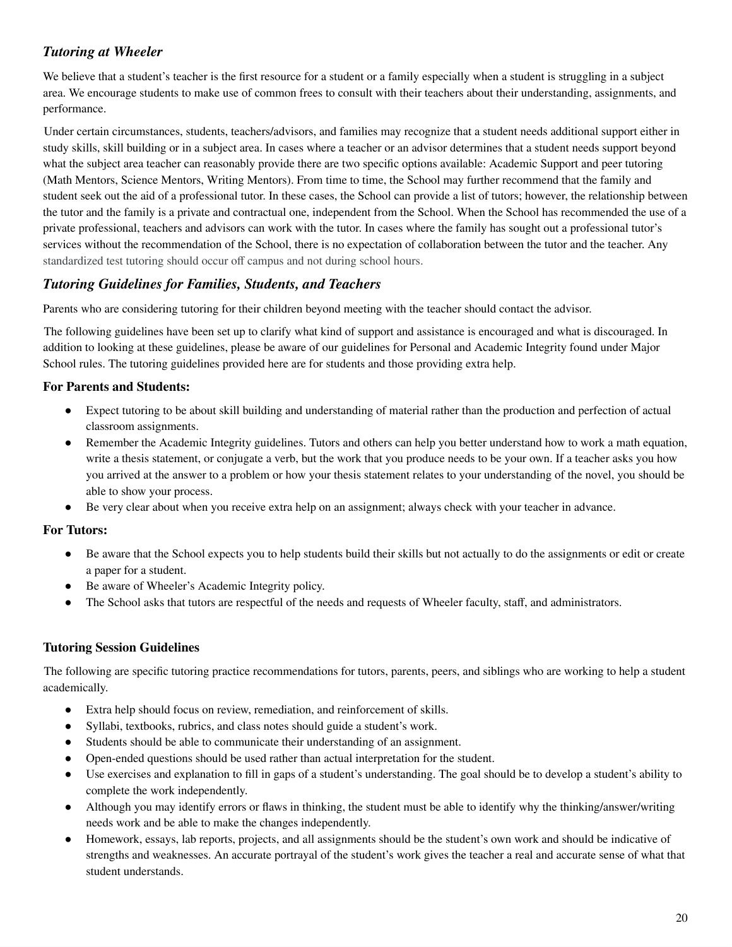#### *Tutoring at Wheeler*

We believe that a student's teacher is the first resource for a student or a family especially when a student is struggling in a subject area. We encourage students to make use of common frees to consult with their teachers about their understanding, assignments, and performance.

Under certain circumstances, students, teachers/advisors, and families may recognize that a student needs additional support either in study skills, skill building or in a subject area. In cases where a teacher or an advisor determines that a student needs support beyond what the subject area teacher can reasonably provide there are two specific options available: Academic Support and peer tutoring (Math Mentors, Science Mentors, Writing Mentors). From time to time, the School may further recommend that the family and student seek out the aid of a professional tutor. In these cases, the School can provide a list of tutors; however, the relationship between the tutor and the family is a private and contractual one, independent from the School. When the School has recommended the use of a private professional, teachers and advisors can work with the tutor. In cases where the family has sought out a professional tutor's services without the recommendation of the School, there is no expectation of collaboration between the tutor and the teacher. Any standardized test tutoring should occur off campus and not during school hours.

#### *Tutoring Guidelines for Families, Students, and Teachers*

Parents who are considering tutoring for their children beyond meeting with the teacher should contact the advisor.

The following guidelines have been set up to clarify what kind of support and assistance is encouraged and what is discouraged. In addition to looking at these guidelines, please be aware of our guidelines for Personal and Academic Integrity found under Major School rules. The tutoring guidelines provided here are for students and those providing extra help.

#### **For Parents and Students:**

- Expect tutoring to be about skill building and understanding of material rather than the production and perfection of actual classroom assignments.
- Remember the Academic Integrity guidelines. Tutors and others can help you better understand how to work a math equation, write a thesis statement, or conjugate a verb, but the work that you produce needs to be your own. If a teacher asks you how you arrived at the answer to a problem or how your thesis statement relates to your understanding of the novel, you should be able to show your process.
- Be very clear about when you receive extra help on an assignment; always check with your teacher in advance.

#### **For Tutors:**

- Be aware that the School expects you to help students build their skills but not actually to do the assignments or edit or create a paper for a student.
- Be aware of Wheeler's Academic Integrity policy.
- The School asks that tutors are respectful of the needs and requests of Wheeler faculty, staff, and administrators.

#### **Tutoring Session Guidelines**

The following are specific tutoring practice recommendations for tutors, parents, peers, and siblings who are working to help a student academically.

- Extra help should focus on review, remediation, and reinforcement of skills.
- Syllabi, textbooks, rubrics, and class notes should guide a student's work.
- Students should be able to communicate their understanding of an assignment.
- Open-ended questions should be used rather than actual interpretation for the student.
- Use exercises and explanation to fill in gaps of a student's understanding. The goal should be to develop a student's ability to complete the work independently.
- Although you may identify errors or flaws in thinking, the student must be able to identify why the thinking/answer/writing needs work and be able to make the changes independently.
- Homework, essays, lab reports, projects, and all assignments should be the student's own work and should be indicative of strengths and weaknesses. An accurate portrayal of the student's work gives the teacher a real and accurate sense of what that student understands.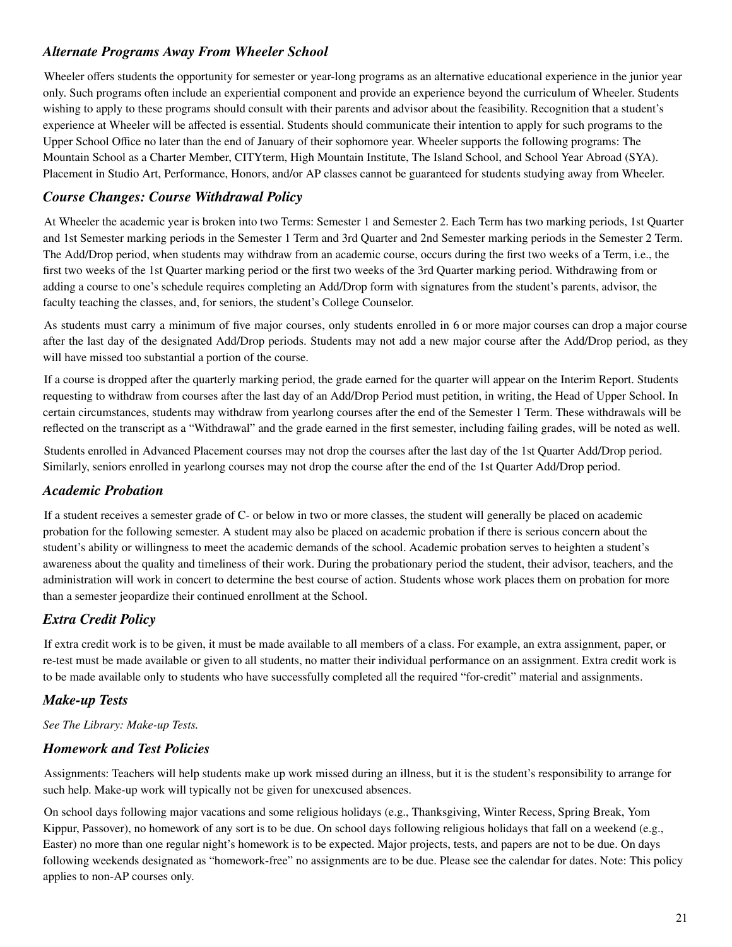#### *Alternate Programs Away From Wheeler School*

Wheeler offers students the opportunity for semester or year-long programs as an alternative educational experience in the junior year only. Such programs often include an experiential component and provide an experience beyond the curriculum of Wheeler. Students wishing to apply to these programs should consult with their parents and advisor about the feasibility. Recognition that a student's experience at Wheeler will be affected is essential. Students should communicate their intention to apply for such programs to the Upper School Office no later than the end of January of their sophomore year. Wheeler supports the following programs: The Mountain School as a Charter Member, CITYterm, High Mountain Institute, The Island School, and School Year Abroad (SYA). Placement in Studio Art, Performance, Honors, and/or AP classes cannot be guaranteed for students studying away from Wheeler.

#### *Course Changes: Course Withdrawal Policy*

At Wheeler the academic year is broken into two Terms: Semester 1 and Semester 2. Each Term has two marking periods, 1st Quarter and 1st Semester marking periods in the Semester 1 Term and 3rd Quarter and 2nd Semester marking periods in the Semester 2 Term. The Add/Drop period, when students may withdraw from an academic course, occurs during the first two weeks of a Term, i.e., the first two weeks of the 1st Quarter marking period or the first two weeks of the 3rd Quarter marking period. Withdrawing from or adding a course to one's schedule requires completing an Add/Drop form with signatures from the student's parents, advisor, the faculty teaching the classes, and, for seniors, the student's College Counselor.

As students must carry a minimum of five major courses, only students enrolled in 6 or more major courses can drop a major course after the last day of the designated Add/Drop periods. Students may not add a new major course after the Add/Drop period, as they will have missed too substantial a portion of the course.

If a course is dropped after the quarterly marking period, the grade earned for the quarter will appear on the Interim Report. Students requesting to withdraw from courses after the last day of an Add/Drop Period must petition, in writing, the Head of Upper School. In certain circumstances, students may withdraw from yearlong courses after the end of the Semester 1 Term. These withdrawals will be reflected on the transcript as a "Withdrawal" and the grade earned in the first semester, including failing grades, will be noted as well.

Students enrolled in Advanced Placement courses may not drop the courses after the last day of the 1st Quarter Add/Drop period. Similarly, seniors enrolled in yearlong courses may not drop the course after the end of the 1st Quarter Add/Drop period.

#### *Academic Probation*

If a student receives a semester grade of C- or below in two or more classes, the student will generally be placed on academic probation for the following semester. A student may also be placed on academic probation if there is serious concern about the student's ability or willingness to meet the academic demands of the school. Academic probation serves to heighten a student's awareness about the quality and timeliness of their work. During the probationary period the student, their advisor, teachers, and the administration will work in concert to determine the best course of action. Students whose work places them on probation for more than a semester jeopardize their continued enrollment at the School.

#### *Extra Credit Policy*

If extra credit work is to be given, it must be made available to all members of a class. For example, an extra assignment, paper, or re-test must be made available or given to all students, no matter their individual performance on an assignment. Extra credit work is to be made available only to students who have successfully completed all the required "for-credit" material and assignments.

#### *Make-up Tests*

#### *See The Library: Make-up Tests.*

#### *Homework and Test Policies*

Assignments: Teachers will help students make up work missed during an illness, but it is the student's responsibility to arrange for such help. Make-up work will typically not be given for unexcused absences.

On school days following major vacations and some religious holidays (e.g., Thanksgiving, Winter Recess, Spring Break, Yom Kippur, Passover), no homework of any sort is to be due. On school days following religious holidays that fall on a weekend (e.g., Easter) no more than one regular night's homework is to be expected. Major projects, tests, and papers are not to be due. On days following weekends designated as "homework-free" no assignments are to be due. Please see the calendar for dates. Note: This policy applies to non-AP courses only.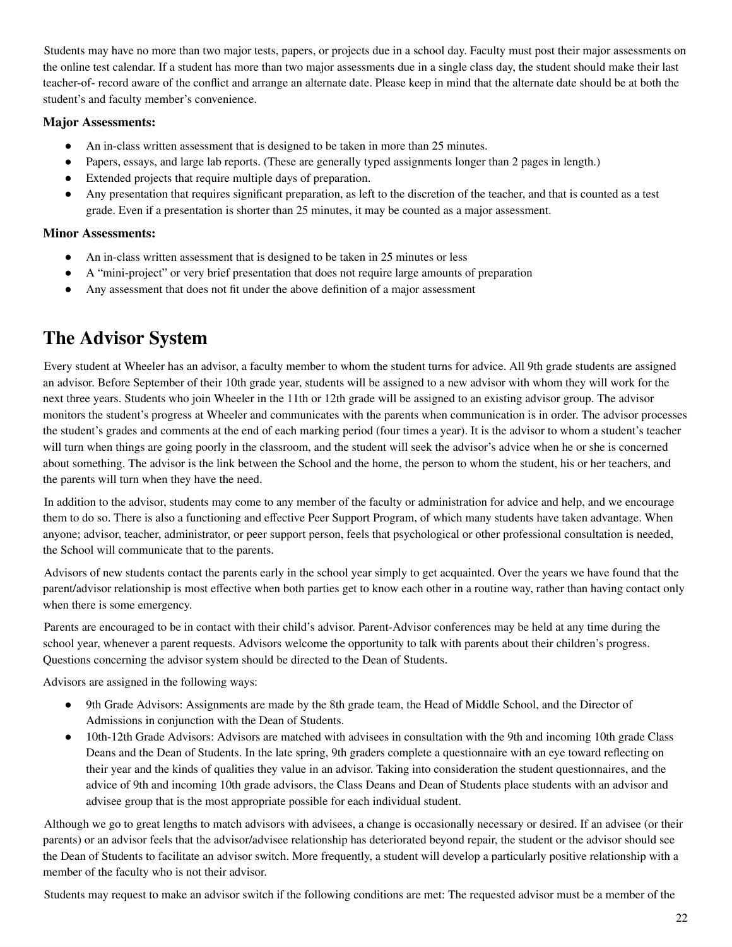Students may have no more than two major tests, papers, or projects due in a school day. Faculty must post their major assessments on the online test calendar. If a student has more than two major assessments due in a single class day, the student should make their last teacher-of- record aware of the conflict and arrange an alternate date. Please keep in mind that the alternate date should be at both the student's and faculty member's convenience.

#### **Major Assessments:**

- An in-class written assessment that is designed to be taken in more than 25 minutes.
- Papers, essays, and large lab reports. (These are generally typed assignments longer than 2 pages in length.)
- Extended projects that require multiple days of preparation.
- Any presentation that requires significant preparation, as left to the discretion of the teacher, and that is counted as a test grade. Even if a presentation is shorter than 25 minutes, it may be counted as a major assessment.

#### **Minor Assessments:**

- An in-class written assessment that is designed to be taken in 25 minutes or less
- A "mini-project" or very brief presentation that does not require large amounts of preparation
- Any assessment that does not fit under the above definition of a major assessment

### <span id="page-21-0"></span>**The Advisor System**

Every student at Wheeler has an advisor, a faculty member to whom the student turns for advice. All 9th grade students are assigned an advisor. Before September of their 10th grade year, students will be assigned to a new advisor with whom they will work for the next three years. Students who join Wheeler in the 11th or 12th grade will be assigned to an existing advisor group. The advisor monitors the student's progress at Wheeler and communicates with the parents when communication is in order. The advisor processes the student's grades and comments at the end of each marking period (four times a year). It is the advisor to whom a student's teacher will turn when things are going poorly in the classroom, and the student will seek the advisor's advice when he or she is concerned about something. The advisor is the link between the School and the home, the person to whom the student, his or her teachers, and the parents will turn when they have the need.

In addition to the advisor, students may come to any member of the faculty or administration for advice and help, and we encourage them to do so. There is also a functioning and effective Peer Support Program, of which many students have taken advantage. When anyone; advisor, teacher, administrator, or peer support person, feels that psychological or other professional consultation is needed, the School will communicate that to the parents.

Advisors of new students contact the parents early in the school year simply to get acquainted. Over the years we have found that the parent/advisor relationship is most effective when both parties get to know each other in a routine way, rather than having contact only when there is some emergency.

Parents are encouraged to be in contact with their child's advisor. Parent-Advisor conferences may be held at any time during the school year, whenever a parent requests. Advisors welcome the opportunity to talk with parents about their children's progress. Questions concerning the advisor system should be directed to the Dean of Students.

Advisors are assigned in the following ways:

- 9th Grade Advisors: Assignments are made by the 8th grade team, the Head of Middle School, and the Director of Admissions in conjunction with the Dean of Students.
- 10th-12th Grade Advisors: Advisors are matched with advisees in consultation with the 9th and incoming 10th grade Class Deans and the Dean of Students. In the late spring, 9th graders complete a questionnaire with an eye toward reflecting on their year and the kinds of qualities they value in an advisor. Taking into consideration the student questionnaires, and the advice of 9th and incoming 10th grade advisors, the Class Deans and Dean of Students place students with an advisor and advisee group that is the most appropriate possible for each individual student.

Although we go to great lengths to match advisors with advisees, a change is occasionally necessary or desired. If an advisee (or their parents) or an advisor feels that the advisor/advisee relationship has deteriorated beyond repair, the student or the advisor should see the Dean of Students to facilitate an advisor switch. More frequently, a student will develop a particularly positive relationship with a member of the faculty who is not their advisor.

Students may request to make an advisor switch if the following conditions are met: The requested advisor must be a member of the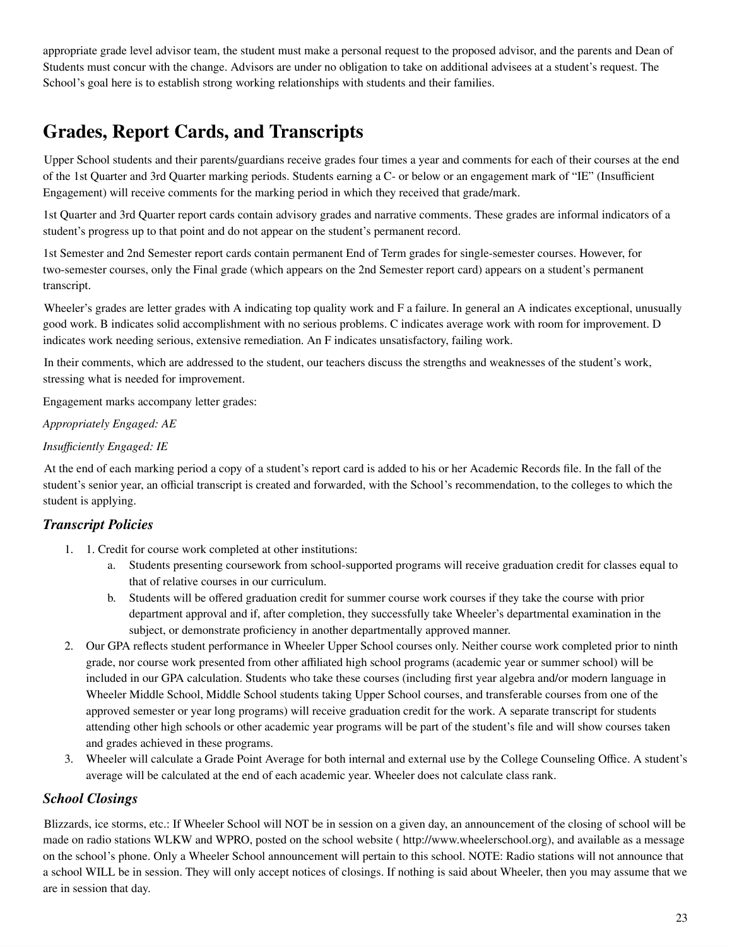appropriate grade level advisor team, the student must make a personal request to the proposed advisor, and the parents and Dean of Students must concur with the change. Advisors are under no obligation to take on additional advisees at a student's request. The School's goal here is to establish strong working relationships with students and their families.

### <span id="page-22-0"></span>**Grades, Report Cards, and Transcripts**

Upper School students and their parents/guardians receive grades four times a year and comments for each of their courses at the end of the 1st Quarter and 3rd Quarter marking periods. Students earning a C- or below or an engagement mark of "IE" (Insufficient Engagement) will receive comments for the marking period in which they received that grade/mark.

1st Quarter and 3rd Quarter report cards contain advisory grades and narrative comments. These grades are informal indicators of a student's progress up to that point and do not appear on the student's permanent record.

1st Semester and 2nd Semester report cards contain permanent End of Term grades for single-semester courses. However, for two-semester courses, only the Final grade (which appears on the 2nd Semester report card) appears on a student's permanent transcript.

Wheeler's grades are letter grades with A indicating top quality work and F a failure. In general an A indicates exceptional, unusually good work. B indicates solid accomplishment with no serious problems. C indicates average work with room for improvement. D indicates work needing serious, extensive remediation. An F indicates unsatisfactory, failing work.

In their comments, which are addressed to the student, our teachers discuss the strengths and weaknesses of the student's work, stressing what is needed for improvement.

Engagement marks accompany letter grades:

#### *Appropriately Engaged: AE*

#### *Insufficiently Engaged: IE*

At the end of each marking period a copy of a student's report card is added to his or her Academic Records file. In the fall of the student's senior year, an official transcript is created and forwarded, with the School's recommendation, to the colleges to which the student is applying.

#### *Transcript Policies*

- 1. 1. Credit for course work completed at other institutions:
	- a. Students presenting coursework from school-supported programs will receive graduation credit for classes equal to that of relative courses in our curriculum.
	- b. Students will be offered graduation credit for summer course work courses if they take the course with prior department approval and if, after completion, they successfully take Wheeler's departmental examination in the subject, or demonstrate proficiency in another departmentally approved manner.
- 2. Our GPA reflects student performance in Wheeler Upper School courses only. Neither course work completed prior to ninth grade, nor course work presented from other affiliated high school programs (academic year or summer school) will be included in our GPA calculation. Students who take these courses (including first year algebra and/or modern language in Wheeler Middle School, Middle School students taking Upper School courses, and transferable courses from one of the approved semester or year long programs) will receive graduation credit for the work. A separate transcript for students attending other high schools or other academic year programs will be part of the student's file and will show courses taken and grades achieved in these programs.
- 3. Wheeler will calculate a Grade Point Average for both internal and external use by the College Counseling Office. A student's average will be calculated at the end of each academic year. Wheeler does not calculate class rank.

#### *School Closings*

Blizzards, ice storms, etc.: If Wheeler School will NOT be in session on a given day, an announcement of the closing of school will be made on radio stations WLKW and WPRO, posted on the school website ( http://www.wheelerschool.org), and available as a message on the school's phone. Only a Wheeler School announcement will pertain to this school. NOTE: Radio stations will not announce that a school WILL be in session. They will only accept notices of closings. If nothing is said about Wheeler, then you may assume that we are in session that day.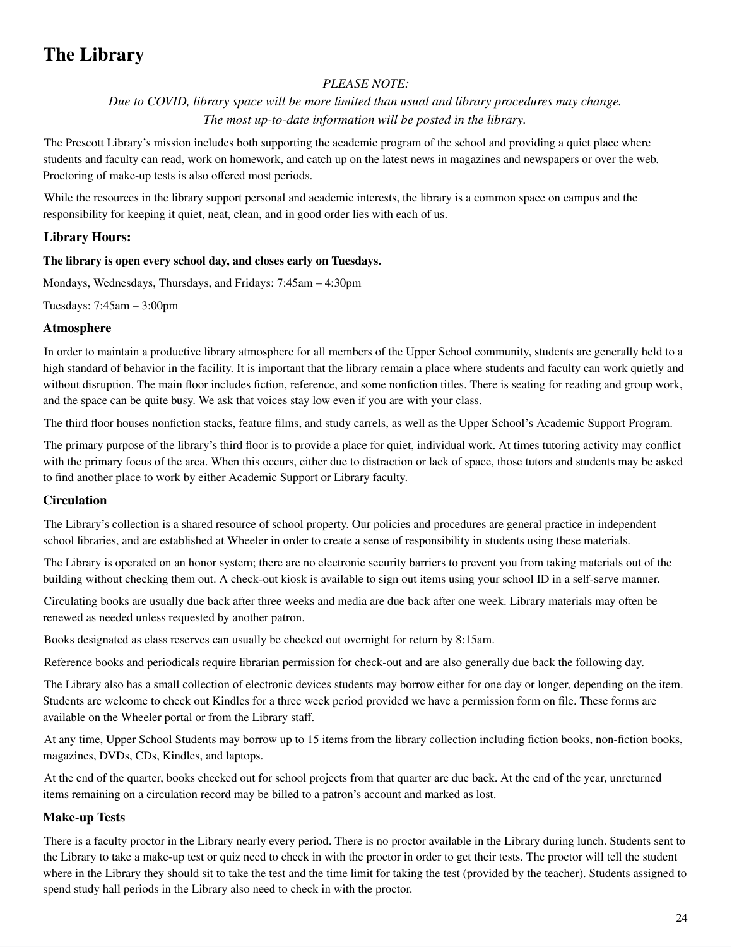### <span id="page-23-0"></span>**The Library**

#### *PLEASE NOTE:*

*Due to COVID, library space will be more limited than usual and library procedures may change. The most up-to-date information will be posted in the library.*

The Prescott Library's mission includes both supporting the academic program of the school and providing a quiet place where students and faculty can read, work on homework, and catch up on the latest news in magazines and newspapers or over the web. Proctoring of make-up tests is also offered most periods.

While the resources in the library support personal and academic interests, the library is a common space on campus and the responsibility for keeping it quiet, neat, clean, and in good order lies with each of us.

#### **Library Hours:**

#### **The library is open every school day, and closes early on Tuesdays.**

Mondays, Wednesdays, Thursdays, and Fridays: 7:45am – 4:30pm

Tuesdays: 7:45am – 3:00pm

#### **Atmosphere**

In order to maintain a productive library atmosphere for all members of the Upper School community, students are generally held to a high standard of behavior in the facility. It is important that the library remain a place where students and faculty can work quietly and without disruption. The main floor includes fiction, reference, and some nonfiction titles. There is seating for reading and group work, and the space can be quite busy. We ask that voices stay low even if you are with your class.

The third floor houses nonfiction stacks, feature films, and study carrels, as well as the Upper School's Academic Support Program.

The primary purpose of the library's third floor is to provide a place for quiet, individual work. At times tutoring activity may conflict with the primary focus of the area. When this occurs, either due to distraction or lack of space, those tutors and students may be asked to find another place to work by either Academic Support or Library faculty.

#### **Circulation**

The Library's collection is a shared resource of school property. Our policies and procedures are general practice in independent school libraries, and are established at Wheeler in order to create a sense of responsibility in students using these materials.

The Library is operated on an honor system; there are no electronic security barriers to prevent you from taking materials out of the building without checking them out. A check-out kiosk is available to sign out items using your school ID in a self-serve manner.

Circulating books are usually due back after three weeks and media are due back after one week. Library materials may often be renewed as needed unless requested by another patron.

Books designated as class reserves can usually be checked out overnight for return by 8:15am.

Reference books and periodicals require librarian permission for check-out and are also generally due back the following day.

The Library also has a small collection of electronic devices students may borrow either for one day or longer, depending on the item. Students are welcome to check out Kindles for a three week period provided we have a permission form on file. These forms are available on the Wheeler portal or from the Library staff.

At any time, Upper School Students may borrow up to 15 items from the library collection including fiction books, non-fiction books, magazines, DVDs, CDs, Kindles, and laptops.

At the end of the quarter, books checked out for school projects from that quarter are due back. At the end of the year, unreturned items remaining on a circulation record may be billed to a patron's account and marked as lost.

#### **Make-up Tests**

There is a faculty proctor in the Library nearly every period. There is no proctor available in the Library during lunch. Students sent to the Library to take a make-up test or quiz need to check in with the proctor in order to get their tests. The proctor will tell the student where in the Library they should sit to take the test and the time limit for taking the test (provided by the teacher). Students assigned to spend study hall periods in the Library also need to check in with the proctor.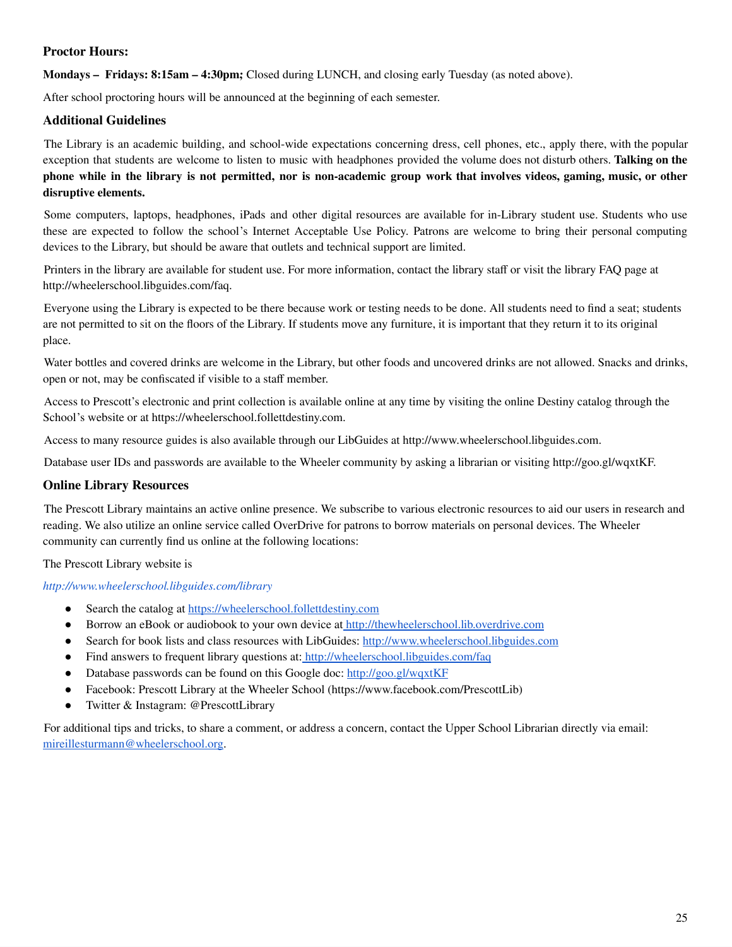#### **Proctor Hours:**

**Mondays – Fridays: 8:15am – 4:30pm;** Closed during LUNCH, and closing early Tuesday (as noted above).

After school proctoring hours will be announced at the beginning of each semester.

#### **Additional Guidelines**

The Library is an academic building, and school-wide expectations concerning dress, cell phones, etc., apply there, with the popular exception that students are welcome to listen to music with headphones provided the volume does not disturb others. **Talking on the** phone while in the library is not permitted, nor is non-academic group work that involves videos, gaming, music, or other **disruptive elements.**

Some computers, laptops, headphones, iPads and other digital resources are available for in-Library student use. Students who use these are expected to follow the school's Internet Acceptable Use Policy. Patrons are welcome to bring their personal computing devices to the Library, but should be aware that outlets and technical support are limited.

Printers in the library are available for student use. For more information, contact the library staff or visit the library FAQ page at http://wheelerschool.libguides.com/faq.

Everyone using the Library is expected to be there because work or testing needs to be done. All students need to find a seat; students are not permitted to sit on the floors of the Library. If students move any furniture, it is important that they return it to its original place.

Water bottles and covered drinks are welcome in the Library, but other foods and uncovered drinks are not allowed. Snacks and drinks, open or not, may be confiscated if visible to a staff member.

Access to Prescott's electronic and print collection is available online at any time by visiting the online Destiny catalog through the School's website or at https://wheelerschool.follettdestiny.com.

Access to many resource guides is also available through our LibGuides at http://www.wheelerschool.libguides.com.

Database user IDs and passwords are available to the Wheeler community by asking a librarian or visiting http://goo.gl/wqxtKF.

#### **Online Library Resources**

The Prescott Library maintains an active online presence. We subscribe to various electronic resources to aid our users in research and reading. We also utilize an online service called OverDrive for patrons to borrow materials on personal devices. The Wheeler community can currently find us online at the following locations:

The Prescott Library website is

#### *http://www.wheelerschool.libguides.com/library*

- Search the catalog at [https://wheelerschool.follettdestiny.com](https://wheelerschool.follettdestiny.com/)
- Borrow an eBook or audiobook to your own device at [http://thewheelerschool.lib.overdrive.com](http://thewheelerschool.lib.overdrive.com/)
- Search for book lists and class resources with LibGuides: [http://www.wheelerschool.libguides.com](http://www.wheelerschool.libguides.com/)
- Find answers to frequent library questions at: <http://wheelerschool.libguides.com/faq>
- Database passwords can be found on this Google doc: <http://goo.gl/wqxtKF>
- Facebook: Prescott Library at the Wheeler School (https://www.facebook.com/PrescottLib)
- Twitter & Instagram: @PrescottLibrary

<span id="page-24-0"></span>For additional tips and tricks, to share a comment, or address a concern, contact the Upper School Librarian directly via email: [mireillesturmann@wheelerschool.org.](mailto:mireillesturmann@wheelerschool.org)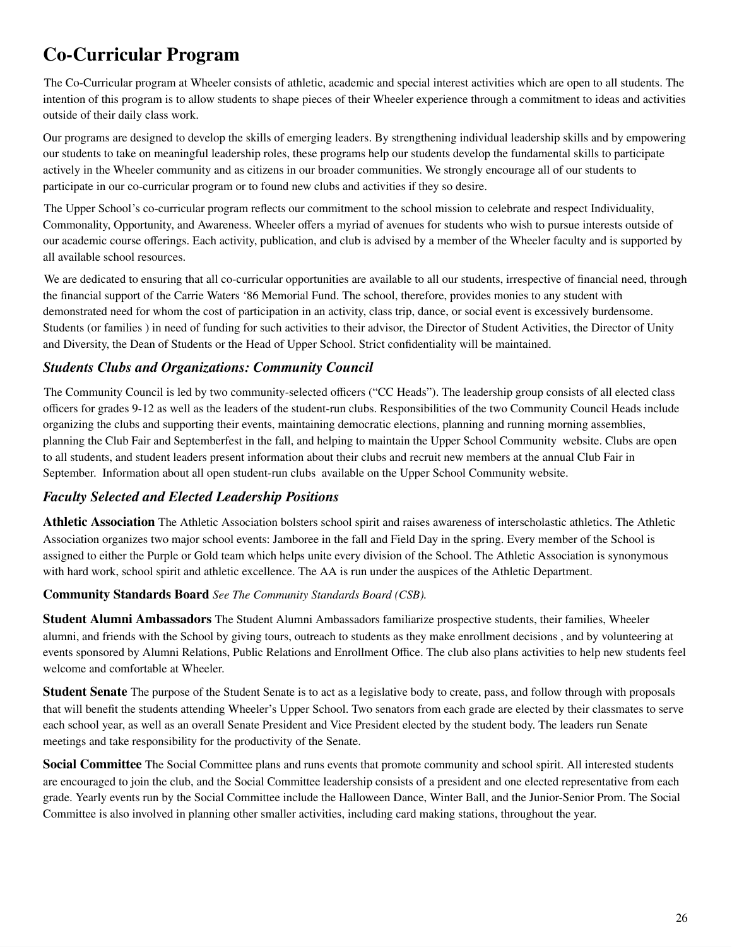### **Co-Curricular Program**

The Co-Curricular program at Wheeler consists of athletic, academic and special interest activities which are open to all students. The intention of this program is to allow students to shape pieces of their Wheeler experience through a commitment to ideas and activities outside of their daily class work.

Our programs are designed to develop the skills of emerging leaders. By strengthening individual leadership skills and by empowering our students to take on meaningful leadership roles, these programs help our students develop the fundamental skills to participate actively in the Wheeler community and as citizens in our broader communities. We strongly encourage all of our students to participate in our co-curricular program or to found new clubs and activities if they so desire.

The Upper School's co-curricular program reflects our commitment to the school mission to celebrate and respect Individuality, Commonality, Opportunity, and Awareness. Wheeler offers a myriad of avenues for students who wish to pursue interests outside of our academic course offerings. Each activity, publication, and club is advised by a member of the Wheeler faculty and is supported by all available school resources.

We are dedicated to ensuring that all co-curricular opportunities are available to all our students, irrespective of financial need, through the financial support of the Carrie Waters '86 Memorial Fund. The school, therefore, provides monies to any student with demonstrated need for whom the cost of participation in an activity, class trip, dance, or social event is excessively burdensome. Students (or families ) in need of funding for such activities to their advisor, the Director of Student Activities, the Director of Unity and Diversity, the Dean of Students or the Head of Upper School. Strict confidentiality will be maintained.

#### *Students Clubs and Organizations: Community Council*

The Community Council is led by two community-selected officers ("CC Heads"). The leadership group consists of all elected class officers for grades 9-12 as well as the leaders of the student-run clubs. Responsibilities of the two Community Council Heads include organizing the clubs and supporting their events, maintaining democratic elections, planning and running morning assemblies, planning the Club Fair and Septemberfest in the fall, and helping to maintain the Upper School Community website. Clubs are open to all students, and student leaders present information about their clubs and recruit new members at the annual Club Fair in September. Information about all open student-run clubs available on the Upper School Community website.

#### *Faculty Selected and Elected Leadership Positions*

**Athletic Association** The Athletic Association bolsters school spirit and raises awareness of interscholastic athletics. The Athletic Association organizes two major school events: Jamboree in the fall and Field Day in the spring. Every member of the School is assigned to either the Purple or Gold team which helps unite every division of the School. The Athletic Association is synonymous with hard work, school spirit and athletic excellence. The AA is run under the auspices of the Athletic Department.

#### **Community Standards Board** *See The Community Standards Board (CSB).*

**Student Alumni Ambassadors** The Student Alumni Ambassadors familiarize prospective students, their families, Wheeler alumni, and friends with the School by giving tours, outreach to students as they make enrollment decisions , and by volunteering at events sponsored by Alumni Relations, Public Relations and Enrollment Office. The club also plans activities to help new students feel welcome and comfortable at Wheeler.

**Student Senate** The purpose of the Student Senate is to act as a legislative body to create, pass, and follow through with proposals that will benefit the students attending Wheeler's Upper School. Two senators from each grade are elected by their classmates to serve each school year, as well as an overall Senate President and Vice President elected by the student body. The leaders run Senate meetings and take responsibility for the productivity of the Senate.

**Social Committee** The Social Committee plans and runs events that promote community and school spirit. All interested students are encouraged to join the club, and the Social Committee leadership consists of a president and one elected representative from each grade. Yearly events run by the Social Committee include the Halloween Dance, Winter Ball, and the Junior-Senior Prom. The Social Committee is also involved in planning other smaller activities, including card making stations, throughout the year.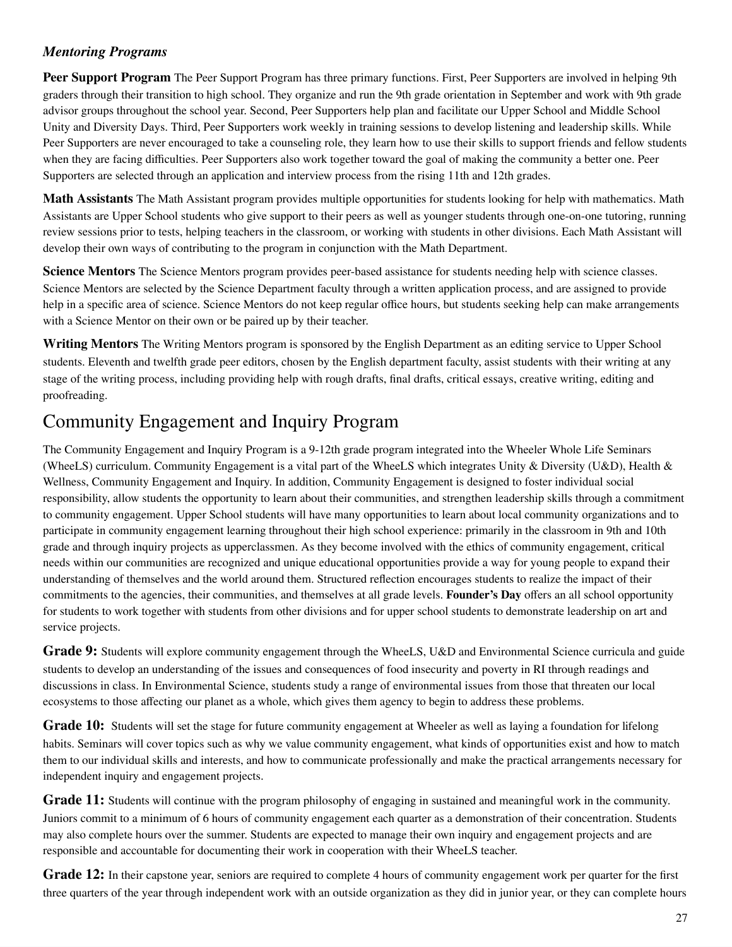#### *Mentoring Programs*

**Peer Support Program** The Peer Support Program has three primary functions. First, Peer Supporters are involved in helping 9th graders through their transition to high school. They organize and run the 9th grade orientation in September and work with 9th grade advisor groups throughout the school year. Second, Peer Supporters help plan and facilitate our Upper School and Middle School Unity and Diversity Days. Third, Peer Supporters work weekly in training sessions to develop listening and leadership skills. While Peer Supporters are never encouraged to take a counseling role, they learn how to use their skills to support friends and fellow students when they are facing difficulties. Peer Supporters also work together toward the goal of making the community a better one. Peer Supporters are selected through an application and interview process from the rising 11th and 12th grades.

**Math Assistants** The Math Assistant program provides multiple opportunities for students looking for help with mathematics. Math Assistants are Upper School students who give support to their peers as well as younger students through one-on-one tutoring, running review sessions prior to tests, helping teachers in the classroom, or working with students in other divisions. Each Math Assistant will develop their own ways of contributing to the program in conjunction with the Math Department.

**Science Mentors** The Science Mentors program provides peer-based assistance for students needing help with science classes. Science Mentors are selected by the Science Department faculty through a written application process, and are assigned to provide help in a specific area of science. Science Mentors do not keep regular office hours, but students seeking help can make arrangements with a Science Mentor on their own or be paired up by their teacher.

**Writing Mentors** The Writing Mentors program is sponsored by the English Department as an editing service to Upper School students. Eleventh and twelfth grade peer editors, chosen by the English department faculty, assist students with their writing at any stage of the writing process, including providing help with rough drafts, final drafts, critical essays, creative writing, editing and proofreading.

### Community Engagement and Inquiry Program

The Community Engagement and Inquiry Program is a 9-12th grade program integrated into the Wheeler Whole Life Seminars (WheeLS) curriculum. Community Engagement is a vital part of the WheeLS which integrates Unity & Diversity (U&D), Health & Wellness, Community Engagement and Inquiry. In addition, Community Engagement is designed to foster individual social responsibility, allow students the opportunity to learn about their communities, and strengthen leadership skills through a commitment to community engagement. Upper School students will have many opportunities to learn about local community organizations and to participate in community engagement learning throughout their high school experience: primarily in the classroom in 9th and 10th grade and through inquiry projects as upperclassmen. As they become involved with the ethics of community engagement, critical needs within our communities are recognized and unique educational opportunities provide a way for young people to expand their understanding of themselves and the world around them. Structured reflection encourages students to realize the impact of their commitments to the agencies, their communities, and themselves at all grade levels. **Founder's Day** offers an all school opportunity for students to work together with students from other divisions and for upper school students to demonstrate leadership on art and service projects.

**Grade 9:** Students will explore community engagement through the WheeLS, U&D and Environmental Science curricula and guide students to develop an understanding of the issues and consequences of food insecurity and poverty in RI through readings and discussions in class. In Environmental Science, students study a range of environmental issues from those that threaten our local ecosystems to those affecting our planet as a whole, which gives them agency to begin to address these problems.

**Grade 10:** Students will set the stage for future community engagement at Wheeler as well as laying a foundation for lifelong habits. Seminars will cover topics such as why we value community engagement, what kinds of opportunities exist and how to match them to our individual skills and interests, and how to communicate professionally and make the practical arrangements necessary for independent inquiry and engagement projects.

**Grade 11:** Students will continue with the program philosophy of engaging in sustained and meaningful work in the community. Juniors commit to a minimum of 6 hours of community engagement each quarter as a demonstration of their concentration. Students may also complete hours over the summer. Students are expected to manage their own inquiry and engagement projects and are responsible and accountable for documenting their work in cooperation with their WheeLS teacher.

**Grade 12:** In their capstone year, seniors are required to complete 4 hours of community engagement work per quarter for the first three quarters of the year through independent work with an outside organization as they did in junior year, or they can complete hours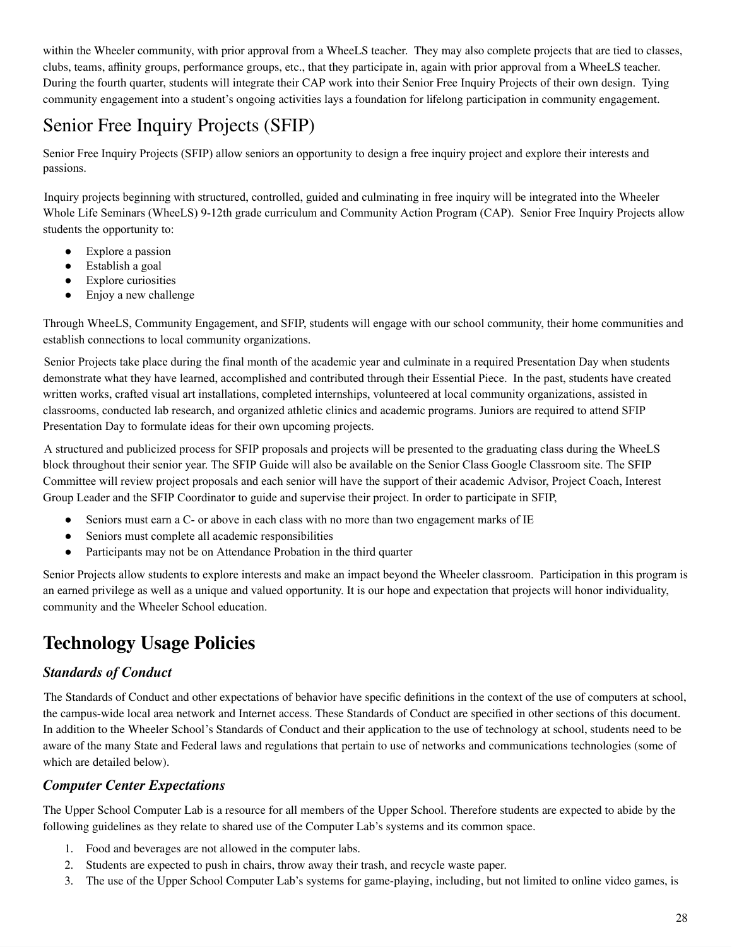within the Wheeler community, with prior approval from a WheeLS teacher. They may also complete projects that are tied to classes, clubs, teams, affinity groups, performance groups, etc., that they participate in, again with prior approval from a WheeLS teacher. During the fourth quarter, students will integrate their CAP work into their Senior Free Inquiry Projects of their own design. Tying community engagement into a student's ongoing activities lays a foundation for lifelong participation in community engagement.

### Senior Free Inquiry Projects (SFIP)

Senior Free Inquiry Projects (SFIP) allow seniors an opportunity to design a free inquiry project and explore their interests and passions.

Inquiry projects beginning with structured, controlled, guided and culminating in free inquiry will be integrated into the Wheeler Whole Life Seminars (WheeLS) 9-12th grade curriculum and Community Action Program (CAP). Senior Free Inquiry Projects allow students the opportunity to:

- Explore a passion
- Establish a goal
- Explore curiosities
- Enjoy a new challenge

Through WheeLS, Community Engagement, and SFIP, students will engage with our school community, their home communities and establish connections to local community organizations.

Senior Projects take place during the final month of the academic year and culminate in a required Presentation Day when students demonstrate what they have learned, accomplished and contributed through their Essential Piece. In the past, students have created written works, crafted visual art installations, completed internships, volunteered at local community organizations, assisted in classrooms, conducted lab research, and organized athletic clinics and academic programs. Juniors are required to attend SFIP Presentation Day to formulate ideas for their own upcoming projects.

A structured and publicized process for SFIP proposals and projects will be presented to the graduating class during the WheeLS block throughout their senior year. The SFIP Guide will also be available on the Senior Class Google Classroom site. The SFIP Committee will review project proposals and each senior will have the support of their academic Advisor, Project Coach, Interest Group Leader and the SFIP Coordinator to guide and supervise their project. In order to participate in SFIP,

- Seniors must earn a C- or above in each class with no more than two engagement marks of IE
- Seniors must complete all academic responsibilities
- Participants may not be on Attendance Probation in the third quarter

Senior Projects allow students to explore interests and make an impact beyond the Wheeler classroom. Participation in this program is an earned privilege as well as a unique and valued opportunity. It is our hope and expectation that projects will honor individuality, community and the Wheeler School education.

### <span id="page-27-0"></span>**Technology Usage Policies**

#### *Standards of Conduct*

The Standards of Conduct and other expectations of behavior have specific definitions in the context of the use of computers at school, the campus-wide local area network and Internet access. These Standards of Conduct are specified in other sections of this document. In addition to the Wheeler School's Standards of Conduct and their application to the use of technology at school, students need to be aware of the many State and Federal laws and regulations that pertain to use of networks and communications technologies (some of which are detailed below).

#### *Computer Center Expectations*

The Upper School Computer Lab is a resource for all members of the Upper School. Therefore students are expected to abide by the following guidelines as they relate to shared use of the Computer Lab's systems and its common space.

- 1. Food and beverages are not allowed in the computer labs.
- 2. Students are expected to push in chairs, throw away their trash, and recycle waste paper.
- 3. The use of the Upper School Computer Lab's systems for game-playing, including, but not limited to online video games, is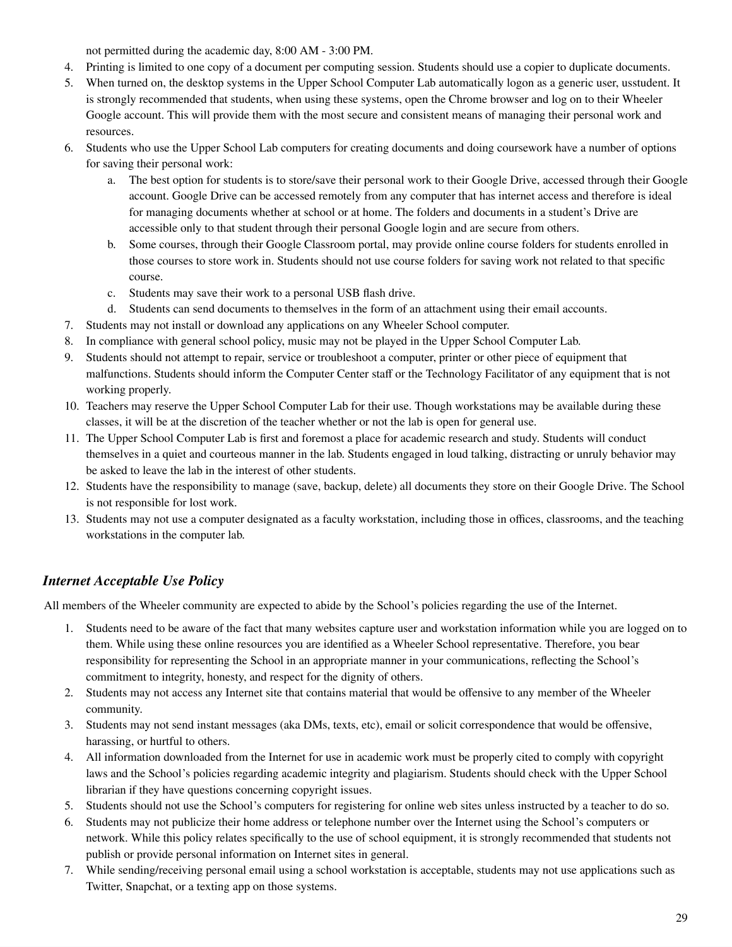not permitted during the academic day, 8:00 AM - 3:00 PM.

- 4. Printing is limited to one copy of a document per computing session. Students should use a copier to duplicate documents.
- 5. When turned on, the desktop systems in the Upper School Computer Lab automatically logon as a generic user, usstudent. It is strongly recommended that students, when using these systems, open the Chrome browser and log on to their Wheeler Google account. This will provide them with the most secure and consistent means of managing their personal work and resources.
- 6. Students who use the Upper School Lab computers for creating documents and doing coursework have a number of options for saving their personal work:
	- a. The best option for students is to store/save their personal work to their Google Drive, accessed through their Google account. Google Drive can be accessed remotely from any computer that has internet access and therefore is ideal for managing documents whether at school or at home. The folders and documents in a student's Drive are accessible only to that student through their personal Google login and are secure from others.
	- b. Some courses, through their Google Classroom portal, may provide online course folders for students enrolled in those courses to store work in. Students should not use course folders for saving work not related to that specific course.
	- c. Students may save their work to a personal USB flash drive.
	- d. Students can send documents to themselves in the form of an attachment using their email accounts.
- 7. Students may not install or download any applications on any Wheeler School computer.
- 8. In compliance with general school policy, music may not be played in the Upper School Computer Lab.
- 9. Students should not attempt to repair, service or troubleshoot a computer, printer or other piece of equipment that malfunctions. Students should inform the Computer Center staff or the Technology Facilitator of any equipment that is not working properly.
- 10. Teachers may reserve the Upper School Computer Lab for their use. Though workstations may be available during these classes, it will be at the discretion of the teacher whether or not the lab is open for general use.
- 11. The Upper School Computer Lab is first and foremost a place for academic research and study. Students will conduct themselves in a quiet and courteous manner in the lab. Students engaged in loud talking, distracting or unruly behavior may be asked to leave the lab in the interest of other students.
- 12. Students have the responsibility to manage (save, backup, delete) all documents they store on their Google Drive. The School is not responsible for lost work.
- 13. Students may not use a computer designated as a faculty workstation, including those in offices, classrooms, and the teaching workstations in the computer lab.

#### *Internet Acceptable Use Policy*

All members of the Wheeler community are expected to abide by the School's policies regarding the use of the Internet.

- 1. Students need to be aware of the fact that many websites capture user and workstation information while you are logged on to them. While using these online resources you are identified as a Wheeler School representative. Therefore, you bear responsibility for representing the School in an appropriate manner in your communications, reflecting the School's commitment to integrity, honesty, and respect for the dignity of others.
- 2. Students may not access any Internet site that contains material that would be offensive to any member of the Wheeler community.
- 3. Students may not send instant messages (aka DMs, texts, etc), email or solicit correspondence that would be offensive, harassing, or hurtful to others.
- 4. All information downloaded from the Internet for use in academic work must be properly cited to comply with copyright laws and the School's policies regarding academic integrity and plagiarism. Students should check with the Upper School librarian if they have questions concerning copyright issues.
- 5. Students should not use the School's computers for registering for online web sites unless instructed by a teacher to do so.
- 6. Students may not publicize their home address or telephone number over the Internet using the School's computers or network. While this policy relates specifically to the use of school equipment, it is strongly recommended that students not publish or provide personal information on Internet sites in general.
- 7. While sending/receiving personal email using a school workstation is acceptable, students may not use applications such as Twitter, Snapchat, or a texting app on those systems.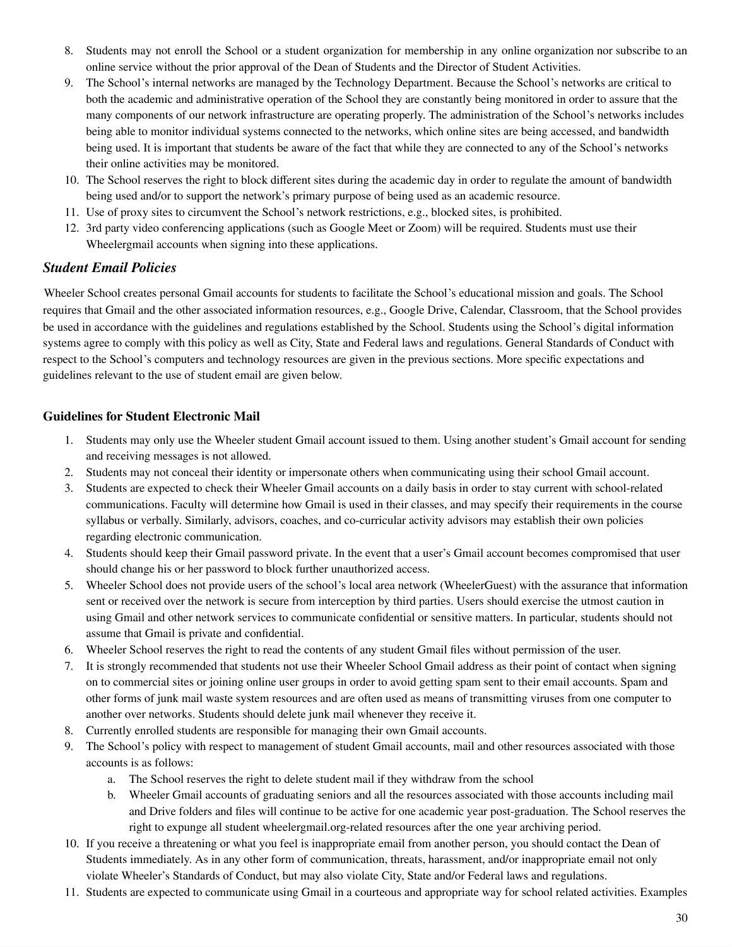- 8. Students may not enroll the School or a student organization for membership in any online organization nor subscribe to an online service without the prior approval of the Dean of Students and the Director of Student Activities.
- 9. The School's internal networks are managed by the Technology Department. Because the School's networks are critical to both the academic and administrative operation of the School they are constantly being monitored in order to assure that the many components of our network infrastructure are operating properly. The administration of the School's networks includes being able to monitor individual systems connected to the networks, which online sites are being accessed, and bandwidth being used. It is important that students be aware of the fact that while they are connected to any of the School's networks their online activities may be monitored.
- 10. The School reserves the right to block different sites during the academic day in order to regulate the amount of bandwidth being used and/or to support the network's primary purpose of being used as an academic resource.
- 11. Use of proxy sites to circumvent the School's network restrictions, e.g., blocked sites, is prohibited.
- 12. 3rd party video conferencing applications (such as Google Meet or Zoom) will be required. Students must use their Wheelergmail accounts when signing into these applications.

#### *Student Email Policies*

Wheeler School creates personal Gmail accounts for students to facilitate the School's educational mission and goals. The School requires that Gmail and the other associated information resources, e.g., Google Drive, Calendar, Classroom, that the School provides be used in accordance with the guidelines and regulations established by the School. Students using the School's digital information systems agree to comply with this policy as well as City, State and Federal laws and regulations. General Standards of Conduct with respect to the School's computers and technology resources are given in the previous sections. More specific expectations and guidelines relevant to the use of student email are given below.

#### **Guidelines for Student Electronic Mail**

- 1. Students may only use the Wheeler student Gmail account issued to them. Using another student's Gmail account for sending and receiving messages is not allowed.
- 2. Students may not conceal their identity or impersonate others when communicating using their school Gmail account.
- 3. Students are expected to check their Wheeler Gmail accounts on a daily basis in order to stay current with school-related communications. Faculty will determine how Gmail is used in their classes, and may specify their requirements in the course syllabus or verbally. Similarly, advisors, coaches, and co-curricular activity advisors may establish their own policies regarding electronic communication.
- 4. Students should keep their Gmail password private. In the event that a user's Gmail account becomes compromised that user should change his or her password to block further unauthorized access.
- 5. Wheeler School does not provide users of the school's local area network (WheelerGuest) with the assurance that information sent or received over the network is secure from interception by third parties. Users should exercise the utmost caution in using Gmail and other network services to communicate confidential or sensitive matters. In particular, students should not assume that Gmail is private and confidential.
- 6. Wheeler School reserves the right to read the contents of any student Gmail files without permission of the user.
- 7. It is strongly recommended that students not use their Wheeler School Gmail address as their point of contact when signing on to commercial sites or joining online user groups in order to avoid getting spam sent to their email accounts. Spam and other forms of junk mail waste system resources and are often used as means of transmitting viruses from one computer to another over networks. Students should delete junk mail whenever they receive it.
- 8. Currently enrolled students are responsible for managing their own Gmail accounts.
- 9. The School's policy with respect to management of student Gmail accounts, mail and other resources associated with those accounts is as follows:
	- a. The School reserves the right to delete student mail if they withdraw from the school
	- b. Wheeler Gmail accounts of graduating seniors and all the resources associated with those accounts including mail and Drive folders and files will continue to be active for one academic year post-graduation. The School reserves the right to expunge all student wheelergmail.org-related resources after the one year archiving period.
- 10. If you receive a threatening or what you feel is inappropriate email from another person, you should contact the Dean of Students immediately. As in any other form of communication, threats, harassment, and/or inappropriate email not only violate Wheeler's Standards of Conduct, but may also violate City, State and/or Federal laws and regulations.
- 11. Students are expected to communicate using Gmail in a courteous and appropriate way for school related activities. Examples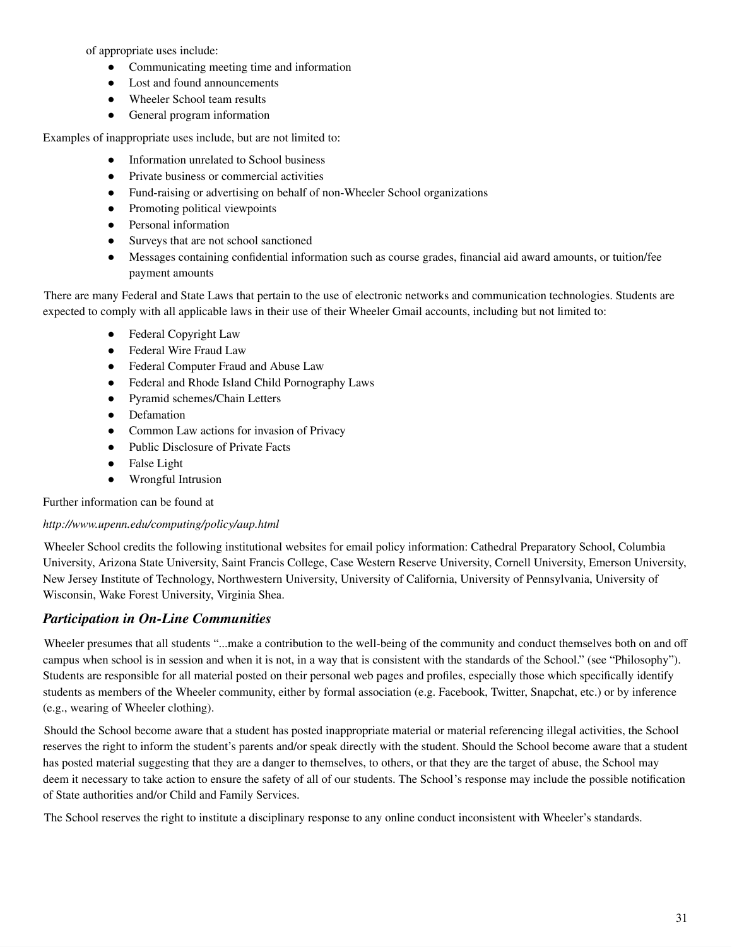of appropriate uses include:

- Communicating meeting time and information
- Lost and found announcements
- Wheeler School team results
- General program information

Examples of inappropriate uses include, but are not limited to:

- Information unrelated to School business
- Private business or commercial activities
- Fund-raising or advertising on behalf of non-Wheeler School organizations
- Promoting political viewpoints
- Personal information
- Surveys that are not school sanctioned
- Messages containing confidential information such as course grades, financial aid award amounts, or tuition/fee payment amounts

There are many Federal and State Laws that pertain to the use of electronic networks and communication technologies. Students are expected to comply with all applicable laws in their use of their Wheeler Gmail accounts, including but not limited to:

- Federal Copyright Law
- Federal Wire Fraud Law
- Federal Computer Fraud and Abuse Law
- Federal and Rhode Island Child Pornography Laws
- Pyramid schemes/Chain Letters
- Defamation
- Common Law actions for invasion of Privacy
- Public Disclosure of Private Facts
- False Light
- Wrongful Intrusion

Further information can be found at

#### *http://www.upenn.edu/computing/policy/aup.html*

Wheeler School credits the following institutional websites for email policy information: Cathedral Preparatory School, Columbia University, Arizona State University, Saint Francis College, Case Western Reserve University, Cornell University, Emerson University, New Jersey Institute of Technology, Northwestern University, University of California, University of Pennsylvania, University of Wisconsin, Wake Forest University, Virginia Shea.

#### *Participation in On-Line Communities*

Wheeler presumes that all students "...make a contribution to the well-being of the community and conduct themselves both on and off campus when school is in session and when it is not, in a way that is consistent with the standards of the School." (see "Philosophy"). Students are responsible for all material posted on their personal web pages and profiles, especially those which specifically identify students as members of the Wheeler community, either by formal association (e.g. Facebook, Twitter, Snapchat, etc.) or by inference (e.g., wearing of Wheeler clothing).

Should the School become aware that a student has posted inappropriate material or material referencing illegal activities, the School reserves the right to inform the student's parents and/or speak directly with the student. Should the School become aware that a student has posted material suggesting that they are a danger to themselves, to others, or that they are the target of abuse, the School may deem it necessary to take action to ensure the safety of all of our students. The School's response may include the possible notification of State authorities and/or Child and Family Services.

The School reserves the right to institute a disciplinary response to any online conduct inconsistent with Wheeler's standards.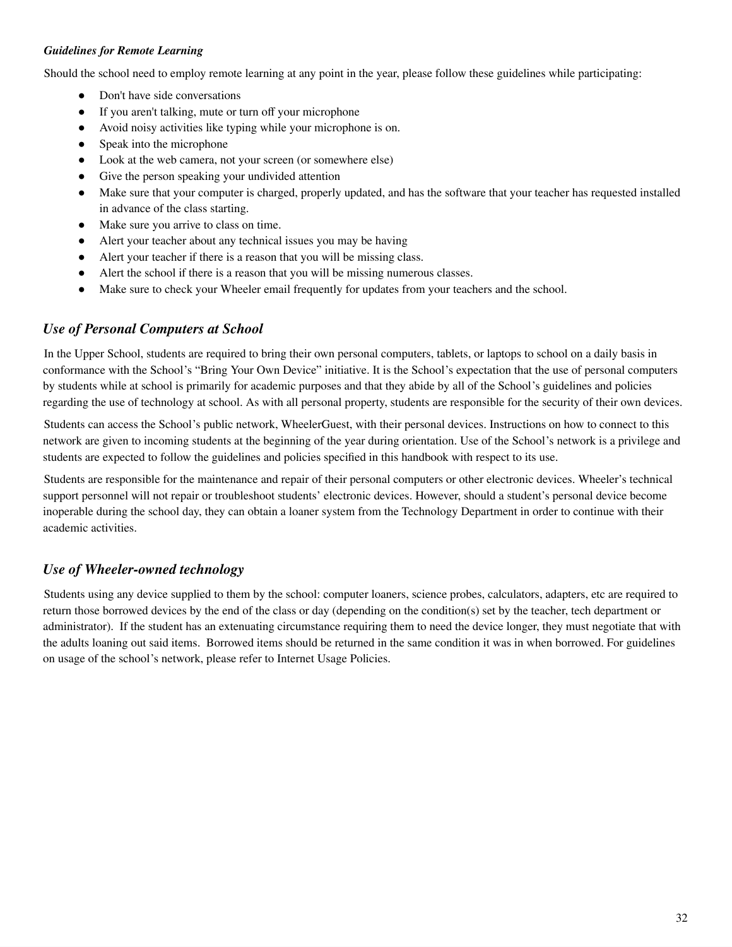#### *Guidelines for Remote Learning*

Should the school need to employ remote learning at any point in the year, please follow these guidelines while participating:

- Don't have side conversations
- If you aren't talking, mute or turn off your microphone
- Avoid noisy activities like typing while your microphone is on.
- Speak into the microphone
- Look at the web camera, not your screen (or somewhere else)
- Give the person speaking your undivided attention
- Make sure that your computer is charged, properly updated, and has the software that your teacher has requested installed in advance of the class starting.
- Make sure you arrive to class on time.
- Alert your teacher about any technical issues you may be having
- Alert your teacher if there is a reason that you will be missing class.
- Alert the school if there is a reason that you will be missing numerous classes.
- Make sure to check your Wheeler email frequently for updates from your teachers and the school.

#### *Use of Personal Computers at School*

In the Upper School, students are required to bring their own personal computers, tablets, or laptops to school on a daily basis in conformance with the School's "Bring Your Own Device" initiative. It is the School's expectation that the use of personal computers by students while at school is primarily for academic purposes and that they abide by all of the School's guidelines and policies regarding the use of technology at school. As with all personal property, students are responsible for the security of their own devices.

Students can access the School's public network, WheelerGuest, with their personal devices. Instructions on how to connect to this network are given to incoming students at the beginning of the year during orientation. Use of the School's network is a privilege and students are expected to follow the guidelines and policies specified in this handbook with respect to its use.

Students are responsible for the maintenance and repair of their personal computers or other electronic devices. Wheeler's technical support personnel will not repair or troubleshoot students' electronic devices. However, should a student's personal device become inoperable during the school day, they can obtain a loaner system from the Technology Department in order to continue with their academic activities.

#### *Use of Wheeler-owned technology*

<span id="page-31-0"></span>Students using any device supplied to them by the school: computer loaners, science probes, calculators, adapters, etc are required to return those borrowed devices by the end of the class or day (depending on the condition(s) set by the teacher, tech department or administrator). If the student has an extenuating circumstance requiring them to need the device longer, they must negotiate that with the adults loaning out said items. Borrowed items should be returned in the same condition it was in when borrowed. For guidelines on usage of the school's network, please refer to Internet Usage Policies.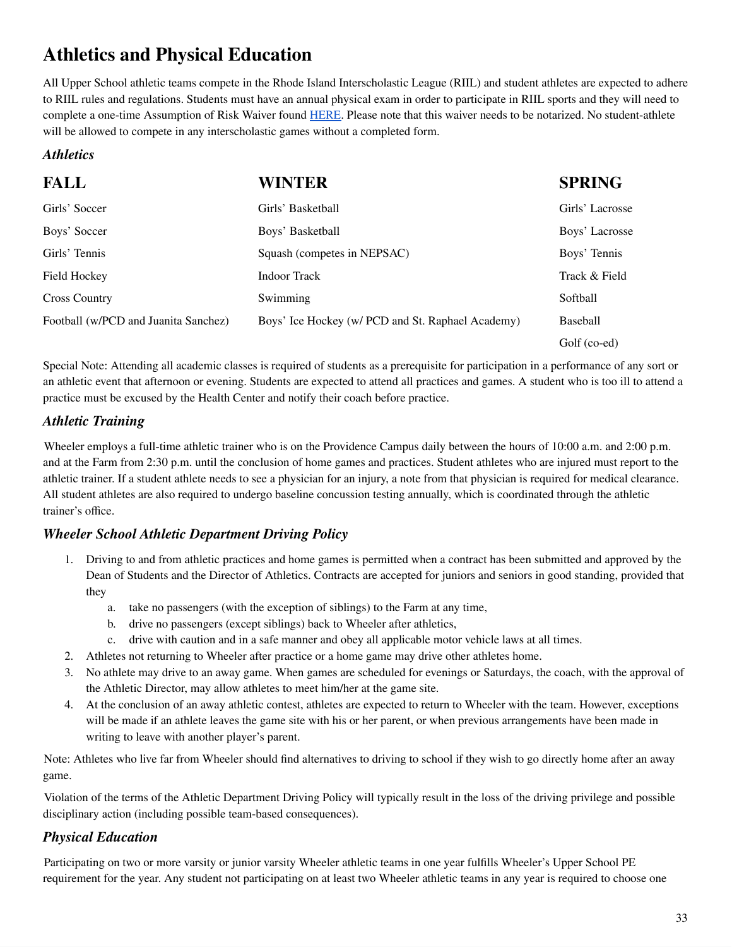### **Athletics and Physical Education**

All Upper School athletic teams compete in the Rhode Island Interscholastic League (RIIL) and student athletes are expected to adhere to RIIL rules and regulations. Students must have an annual physical exam in order to participate in RIIL sports and they will need to complete a one-time Assumption of Risk Waiver found [HERE](https://wheelerwarriors.org/sites/wheelerschool.rschoolteams.com/files/files/Private_User/stephenjenks/Assumption_of_Risk_2020_1.pdf). Please note that this waiver needs to be notarized. No student-athlete will be allowed to compete in any interscholastic games without a completed form.

#### *Athletics*

| <b>FALL</b>                          | <b>WINTER</b>                                     | <b>SPRING</b>   |
|--------------------------------------|---------------------------------------------------|-----------------|
| Girls' Soccer                        | Girls' Basketball                                 | Girls' Lacrosse |
| Boys' Soccer                         | Boys' Basketball                                  | Boys' Lacrosse  |
| Girls' Tennis                        | Squash (competes in NEPSAC)                       | Boys' Tennis    |
| <b>Field Hockey</b>                  | Indoor Track                                      | Track & Field   |
| <b>Cross Country</b>                 | Swimming                                          | Softball        |
| Football (w/PCD and Juanita Sanchez) | Boys' Ice Hockey (w/ PCD and St. Raphael Academy) | <b>Baseball</b> |
|                                      |                                                   | Golf (co-ed)    |

Special Note: Attending all academic classes is required of students as a prerequisite for participation in a performance of any sort or an athletic event that afternoon or evening. Students are expected to attend all practices and games. A student who is too ill to attend a practice must be excused by the Health Center and notify their coach before practice.

#### *Athletic Training*

Wheeler employs a full-time athletic trainer who is on the Providence Campus daily between the hours of 10:00 a.m. and 2:00 p.m. and at the Farm from 2:30 p.m. until the conclusion of home games and practices. Student athletes who are injured must report to the athletic trainer. If a student athlete needs to see a physician for an injury, a note from that physician is required for medical clearance. All student athletes are also required to undergo baseline concussion testing annually, which is coordinated through the athletic trainer's office.

#### *Wheeler School Athletic Department Driving Policy*

- 1. Driving to and from athletic practices and home games is permitted when a contract has been submitted and approved by the Dean of Students and the Director of Athletics. Contracts are accepted for juniors and seniors in good standing, provided that they
	- a. take no passengers (with the exception of siblings) to the Farm at any time,
	- b. drive no passengers (except siblings) back to Wheeler after athletics,
	- c. drive with caution and in a safe manner and obey all applicable motor vehicle laws at all times.
- 2. Athletes not returning to Wheeler after practice or a home game may drive other athletes home.
- 3. No athlete may drive to an away game. When games are scheduled for evenings or Saturdays, the coach, with the approval of the Athletic Director, may allow athletes to meet him/her at the game site.
- 4. At the conclusion of an away athletic contest, athletes are expected to return to Wheeler with the team. However, exceptions will be made if an athlete leaves the game site with his or her parent, or when previous arrangements have been made in writing to leave with another player's parent.

Note: Athletes who live far from Wheeler should find alternatives to driving to school if they wish to go directly home after an away game.

Violation of the terms of the Athletic Department Driving Policy will typically result in the loss of the driving privilege and possible disciplinary action (including possible team-based consequences).

#### *Physical Education*

Participating on two or more varsity or junior varsity Wheeler athletic teams in one year fulfills Wheeler's Upper School PE requirement for the year. Any student not participating on at least two Wheeler athletic teams in any year is required to choose one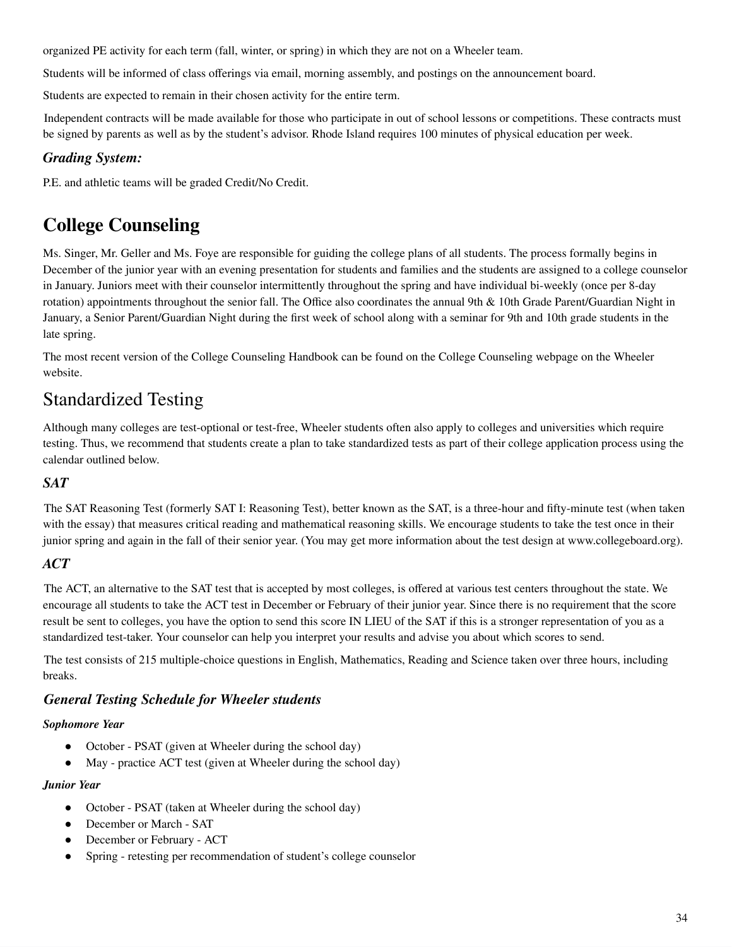organized PE activity for each term (fall, winter, or spring) in which they are not on a Wheeler team.

Students will be informed of class offerings via email, morning assembly, and postings on the announcement board.

Students are expected to remain in their chosen activity for the entire term.

Independent contracts will be made available for those who participate in out of school lessons or competitions. These contracts must be signed by parents as well as by the student's advisor. Rhode Island requires 100 minutes of physical education per week.

#### *Grading System:*

P.E. and athletic teams will be graded Credit/No Credit.

### <span id="page-33-0"></span>**College Counseling**

Ms. Singer, Mr. Geller and Ms. Foye are responsible for guiding the college plans of all students. The process formally begins in December of the junior year with an evening presentation for students and families and the students are assigned to a college counselor in January. Juniors meet with their counselor intermittently throughout the spring and have individual bi-weekly (once per 8-day rotation) appointments throughout the senior fall. The Office also coordinates the annual 9th & 10th Grade Parent/Guardian Night in January, a Senior Parent/Guardian Night during the first week of school along with a seminar for 9th and 10th grade students in the late spring.

The most recent version of the College Counseling Handbook can be found on the College Counseling webpage on the Wheeler website.

### Standardized Testing

Although many colleges are test-optional or test-free, Wheeler students often also apply to colleges and universities which require testing. Thus, we recommend that students create a plan to take standardized tests as part of their college application process using the calendar outlined below.

#### *SAT*

The SAT Reasoning Test (formerly SAT I: Reasoning Test), better known as the SAT, is a three-hour and fifty-minute test (when taken with the essay) that measures critical reading and mathematical reasoning skills. We encourage students to take the test once in their junior spring and again in the fall of their senior year. (You may get more information about the test design at www.collegeboard.org).

#### *ACT*

The ACT, an alternative to the SAT test that is accepted by most colleges, is offered at various test centers throughout the state. We encourage all students to take the ACT test in December or February of their junior year. Since there is no requirement that the score result be sent to colleges, you have the option to send this score IN LIEU of the SAT if this is a stronger representation of you as a standardized test-taker. Your counselor can help you interpret your results and advise you about which scores to send.

The test consists of 215 multiple-choice questions in English, Mathematics, Reading and Science taken over three hours, including breaks.

#### *General Testing Schedule for Wheeler students*

#### *Sophomore Year*

- October PSAT (given at Wheeler during the school day)
- May practice ACT test (given at Wheeler during the school day)

#### *Junior Year*

- October PSAT (taken at Wheeler during the school day)
- December or March SAT
- December or February ACT
- Spring retesting per recommendation of student's college counselor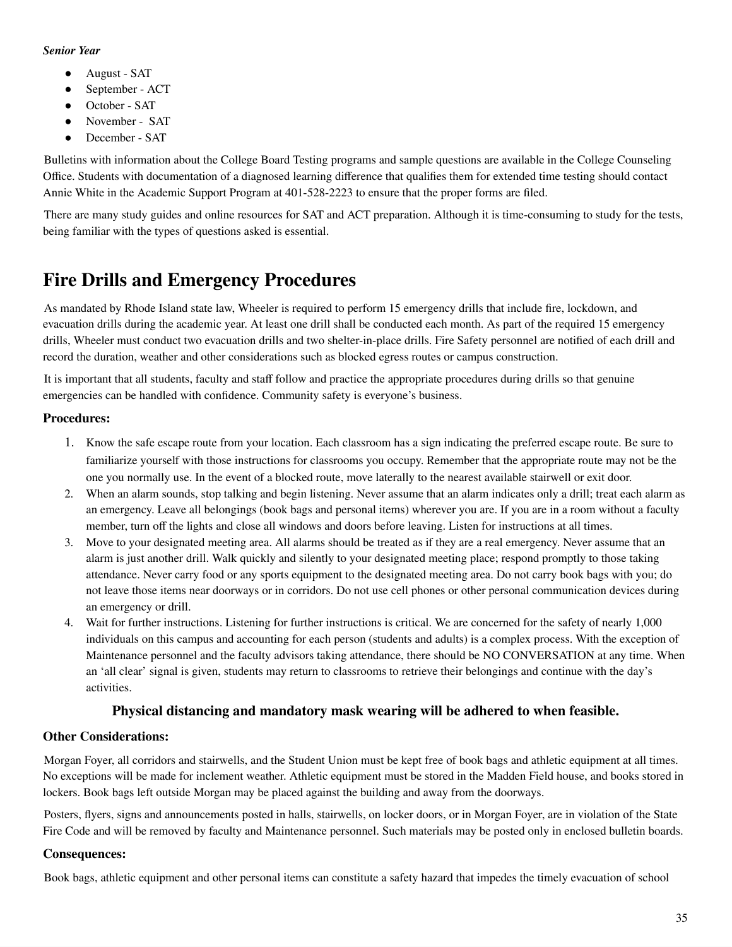#### *Senior Year*

- August SAT
- September ACT
- October SAT
- November SAT
- December SAT

Bulletins with information about the College Board Testing programs and sample questions are available in the College Counseling Office. Students with documentation of a diagnosed learning difference that qualifies them for extended time testing should contact Annie White in the Academic Support Program at 401-528-2223 to ensure that the proper forms are filed.

There are many study guides and online resources for SAT and ACT preparation. Although it is time-consuming to study for the tests, being familiar with the types of questions asked is essential.

### <span id="page-34-0"></span>**Fire Drills and Emergency Procedures**

As mandated by Rhode Island state law, Wheeler is required to perform 15 emergency drills that include fire, lockdown, and evacuation drills during the academic year. At least one drill shall be conducted each month. As part of the required 15 emergency drills, Wheeler must conduct two evacuation drills and two shelter-in-place drills. Fire Safety personnel are notified of each drill and record the duration, weather and other considerations such as blocked egress routes or campus construction.

It is important that all students, faculty and staff follow and practice the appropriate procedures during drills so that genuine emergencies can be handled with confidence. Community safety is everyone's business.

#### **Procedures:**

- 1. Know the safe escape route from your location. Each classroom has a sign indicating the preferred escape route. Be sure to familiarize yourself with those instructions for classrooms you occupy. Remember that the appropriate route may not be the one you normally use. In the event of a blocked route, move laterally to the nearest available stairwell or exit door.
- 2. When an alarm sounds, stop talking and begin listening. Never assume that an alarm indicates only a drill; treat each alarm as an emergency. Leave all belongings (book bags and personal items) wherever you are. If you are in a room without a faculty member, turn off the lights and close all windows and doors before leaving. Listen for instructions at all times.
- 3. Move to your designated meeting area. All alarms should be treated as if they are a real emergency. Never assume that an alarm is just another drill. Walk quickly and silently to your designated meeting place; respond promptly to those taking attendance. Never carry food or any sports equipment to the designated meeting area. Do not carry book bags with you; do not leave those items near doorways or in corridors. Do not use cell phones or other personal communication devices during an emergency or drill.
- 4. Wait for further instructions. Listening for further instructions is critical. We are concerned for the safety of nearly 1,000 individuals on this campus and accounting for each person (students and adults) is a complex process. With the exception of Maintenance personnel and the faculty advisors taking attendance, there should be NO CONVERSATION at any time. When an 'all clear' signal is given, students may return to classrooms to retrieve their belongings and continue with the day's activities.

#### **Physical distancing and mandatory mask wearing will be adhered to when feasible.**

#### **Other Considerations:**

Morgan Foyer, all corridors and stairwells, and the Student Union must be kept free of book bags and athletic equipment at all times. No exceptions will be made for inclement weather. Athletic equipment must be stored in the Madden Field house, and books stored in lockers. Book bags left outside Morgan may be placed against the building and away from the doorways.

Posters, flyers, signs and announcements posted in halls, stairwells, on locker doors, or in Morgan Foyer, are in violation of the State Fire Code and will be removed by faculty and Maintenance personnel. Such materials may be posted only in enclosed bulletin boards.

#### **Consequences:**

Book bags, athletic equipment and other personal items can constitute a safety hazard that impedes the timely evacuation of school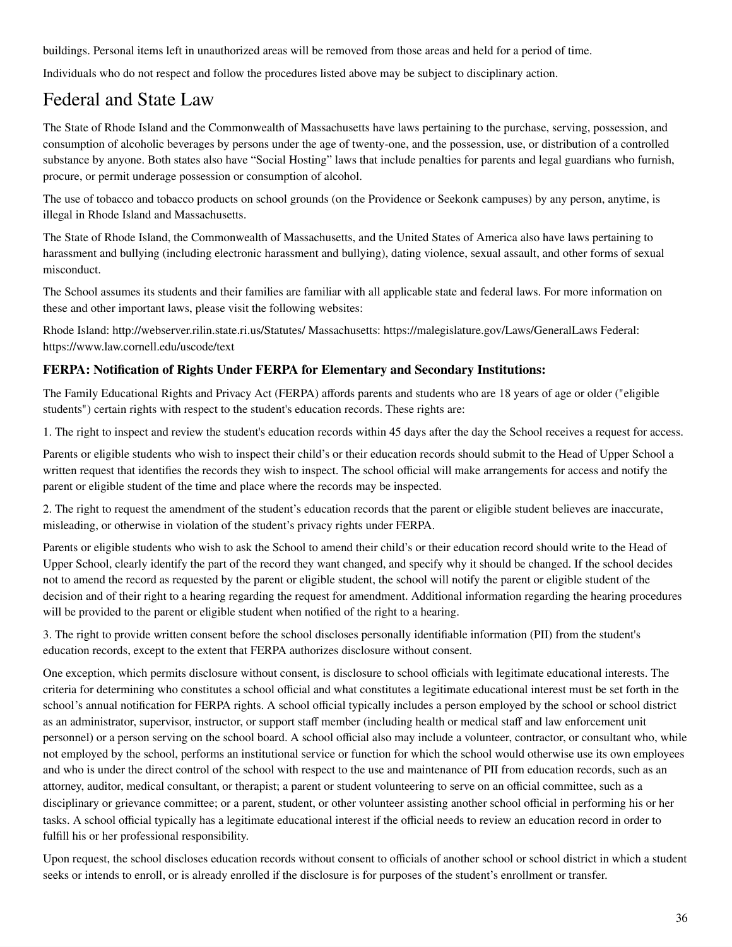buildings. Personal items left in unauthorized areas will be removed from those areas and held for a period of time.

Individuals who do not respect and follow the procedures listed above may be subject to disciplinary action.

### Federal and State Law

The State of Rhode Island and the Commonwealth of Massachusetts have laws pertaining to the purchase, serving, possession, and consumption of alcoholic beverages by persons under the age of twenty-one, and the possession, use, or distribution of a controlled substance by anyone. Both states also have "Social Hosting" laws that include penalties for parents and legal guardians who furnish, procure, or permit underage possession or consumption of alcohol.

The use of tobacco and tobacco products on school grounds (on the Providence or Seekonk campuses) by any person, anytime, is illegal in Rhode Island and Massachusetts.

The State of Rhode Island, the Commonwealth of Massachusetts, and the United States of America also have laws pertaining to harassment and bullying (including electronic harassment and bullying), dating violence, sexual assault, and other forms of sexual misconduct.

The School assumes its students and their families are familiar with all applicable state and federal laws. For more information on these and other important laws, please visit the following websites:

Rhode Island: http://webserver.rilin.state.ri.us/Statutes/ Massachusetts: https://malegislature.gov/Laws/GeneralLaws Federal: https://www.law.cornell.edu/uscode/text

#### **FERPA: Notification of Rights Under FERPA for Elementary and Secondary Institutions:**

The Family Educational Rights and Privacy Act (FERPA) affords parents and students who are 18 years of age or older ("eligible students") certain rights with respect to the student's education records. These rights are:

1. The right to inspect and review the student's education records within 45 days after the day the School receives a request for access.

Parents or eligible students who wish to inspect their child's or their education records should submit to the Head of Upper School a written request that identifies the records they wish to inspect. The school official will make arrangements for access and notify the parent or eligible student of the time and place where the records may be inspected.

2. The right to request the amendment of the student's education records that the parent or eligible student believes are inaccurate, misleading, or otherwise in violation of the student's privacy rights under FERPA.

Parents or eligible students who wish to ask the School to amend their child's or their education record should write to the Head of Upper School, clearly identify the part of the record they want changed, and specify why it should be changed. If the school decides not to amend the record as requested by the parent or eligible student, the school will notify the parent or eligible student of the decision and of their right to a hearing regarding the request for amendment. Additional information regarding the hearing procedures will be provided to the parent or eligible student when notified of the right to a hearing.

3. The right to provide written consent before the school discloses personally identifiable information (PII) from the student's education records, except to the extent that FERPA authorizes disclosure without consent.

One exception, which permits disclosure without consent, is disclosure to school officials with legitimate educational interests. The criteria for determining who constitutes a school official and what constitutes a legitimate educational interest must be set forth in the school's annual notification for FERPA rights. A school official typically includes a person employed by the school or school district as an administrator, supervisor, instructor, or support staff member (including health or medical staff and law enforcement unit personnel) or a person serving on the school board. A school official also may include a volunteer, contractor, or consultant who, while not employed by the school, performs an institutional service or function for which the school would otherwise use its own employees and who is under the direct control of the school with respect to the use and maintenance of PII from education records, such as an attorney, auditor, medical consultant, or therapist; a parent or student volunteering to serve on an official committee, such as a disciplinary or grievance committee; or a parent, student, or other volunteer assisting another school official in performing his or her tasks. A school official typically has a legitimate educational interest if the official needs to review an education record in order to fulfill his or her professional responsibility.

Upon request, the school discloses education records without consent to officials of another school or school district in which a student seeks or intends to enroll, or is already enrolled if the disclosure is for purposes of the student's enrollment or transfer.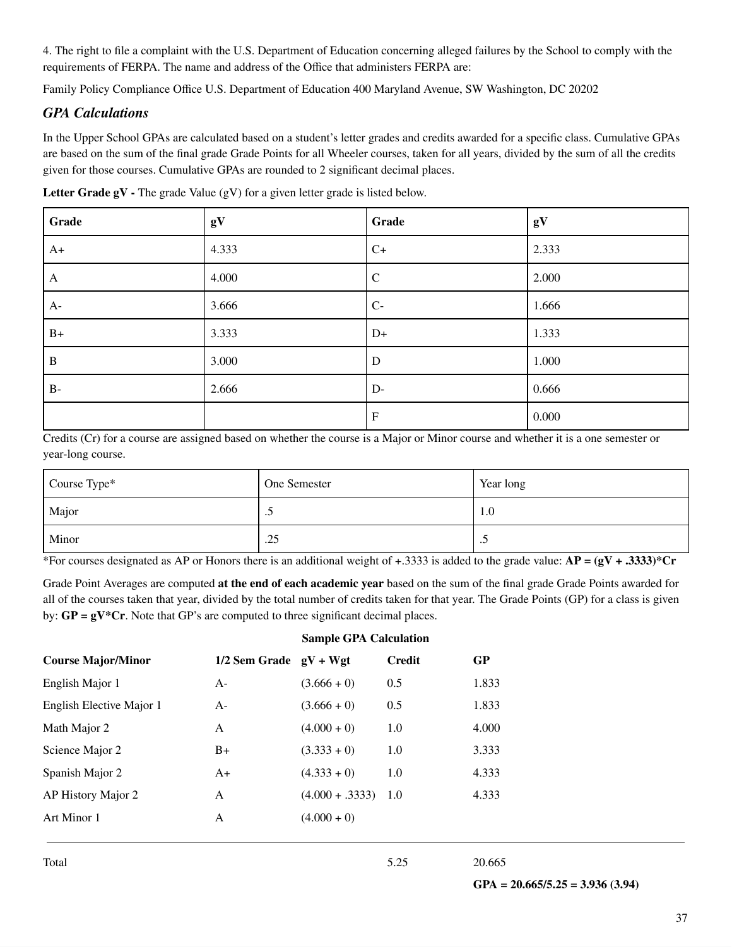4. The right to file a complaint with the U.S. Department of Education concerning alleged failures by the School to comply with the requirements of FERPA. The name and address of the Office that administers FERPA are:

Family Policy Compliance Office U.S. Department of Education 400 Maryland Avenue, SW Washington, DC 20202

#### *GPA Calculations*

In the Upper School GPAs are calculated based on a student's letter grades and credits awarded for a specific class. Cumulative GPAs are based on the sum of the final grade Grade Points for all Wheeler courses, taken for all years, divided by the sum of all the credits given for those courses. Cumulative GPAs are rounded to 2 significant decimal places.

| Grade        | gV    | Grade                     | gV    |
|--------------|-------|---------------------------|-------|
| $A+$         | 4.333 | $C+$                      | 2.333 |
| $\mathbf{A}$ | 4.000 | $\mathbf C$               | 2.000 |
| $A-$         | 3.666 | $C-$                      | 1.666 |
| $B+$         | 3.333 | $D+$                      | 1.333 |
| $\, {\bf B}$ | 3.000 | D                         | 1.000 |
| $B-$         | 2.666 | $D-$                      | 0.666 |
|              |       | $\boldsymbol{\mathrm{F}}$ | 0.000 |

**Letter Grade gV -** The grade Value (gV) for a given letter grade is listed below.

Credits (Cr) for a course are assigned based on whether the course is a Major or Minor course and whether it is a one semester or year-long course.

| Course Type* | One Semester | Year long |
|--------------|--------------|-----------|
| Major        | ت            | 1.0       |
| Minor        | .25          | $\cdot$   |

\*For courses designated as AP or Honors there is an additional weight of +.3333 is added to the grade value: **AP = (gV + .3333)\*Cr**

Grade Point Averages are computed **at the end of each academic year** based on the sum of the final grade Grade Points awarded for all of the courses taken that year, divided by the total number of credits taken for that year. The Grade Points (GP) for a class is given by: **GP = gV\*Cr**. Note that GP's are computed to three significant decimal places.

|                           |                            | <b>Sample GPA Calculation</b> |               |       |
|---------------------------|----------------------------|-------------------------------|---------------|-------|
| <b>Course Major/Minor</b> | $1/2$ Sem Grade $gV + Wgt$ |                               | <b>Credit</b> | GP    |
| English Major 1           | $A-$                       | $(3.666 + 0)$                 | 0.5           | 1.833 |
| English Elective Major 1  | $A -$                      | $(3.666 + 0)$                 | 0.5           | 1.833 |
| Math Major 2              | A                          | $(4.000 + 0)$                 | 1.0           | 4.000 |
| Science Major 2           | $B+$                       | $(3.333 + 0)$                 | 1.0           | 3.333 |
| Spanish Major 2           | $A+$                       | $(4.333 + 0)$                 | 1.0           | 4.333 |
| AP History Major 2        | A                          | $(4.000 + .3333)$             | 1.0           | 4.333 |
| Art Minor 1               | A                          | $(4.000 + 0)$                 |               |       |
|                           |                            |                               |               |       |

Total 5.25 20.665

**GPA = 20.665/5.25 = 3.936 (3.94)**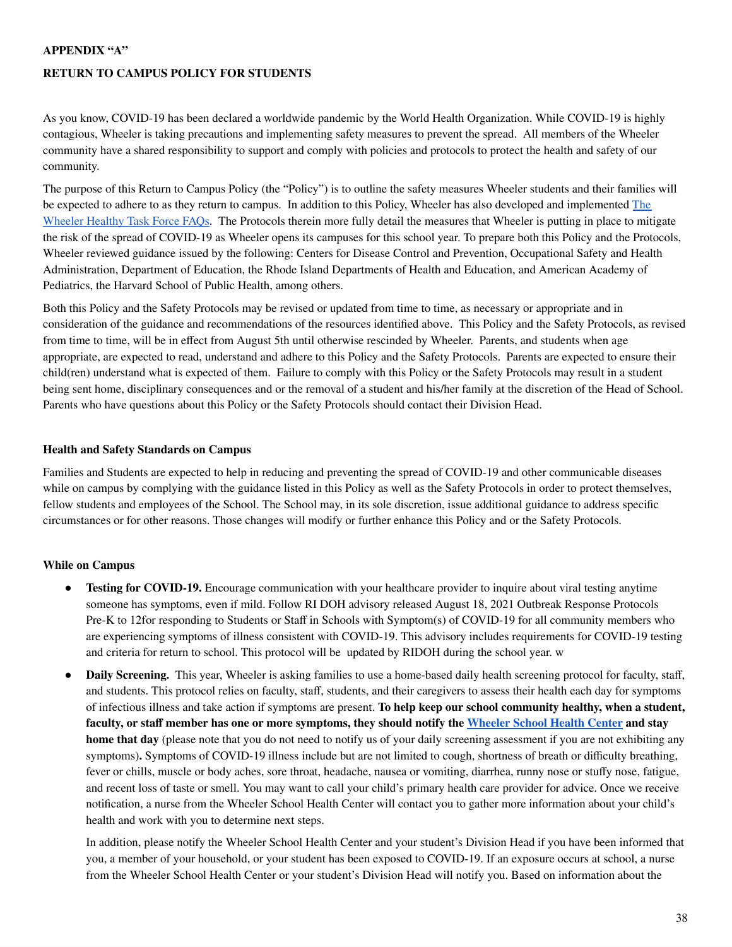#### **APPENDIX "A"**

#### **RETURN TO CAMPUS POLICY FOR STUDENTS**

As you know, COVID-19 has been declared a worldwide pandemic by the World Health Organization. While COVID-19 is highly contagious, Wheeler is taking precautions and implementing safety measures to prevent the spread. All members of the Wheeler community have a shared responsibility to support and comply with policies and protocols to protect the health and safety of our community.

The purpose of this Return to Campus Policy (the "Policy") is to outline the safety measures Wheeler students and their families will be expected to adhere to as they return to campus. In addition to this Policy, Wheeler has also developed and implemented [The](https://docs.google.com/document/d/1qeqgOO2k5WJqVPGK1jX6QcPSy458TV59guR7jWBCjDg/edit?usp=sharing) [Wheeler](https://docs.google.com/document/d/1qeqgOO2k5WJqVPGK1jX6QcPSy458TV59guR7jWBCjDg/edit?usp=sharing) Healthy Task Force FAQs. The Protocols therein more fully detail the measures that Wheeler is putting in place to mitigate the risk of the spread of COVID-19 as Wheeler opens its campuses for this school year. To prepare both this Policy and the Protocols, Wheeler reviewed guidance issued by the following: Centers for Disease Control and Prevention, Occupational Safety and Health Administration, Department of Education, the Rhode Island Departments of Health and Education, and American Academy of Pediatrics, the Harvard School of Public Health, among others.

Both this Policy and the Safety Protocols may be revised or updated from time to time, as necessary or appropriate and in consideration of the guidance and recommendations of the resources identified above. This Policy and the Safety Protocols, as revised from time to time, will be in effect from August 5th until otherwise rescinded by Wheeler. Parents, and students when age appropriate, are expected to read, understand and adhere to this Policy and the Safety Protocols. Parents are expected to ensure their child(ren) understand what is expected of them. Failure to comply with this Policy or the Safety Protocols may result in a student being sent home, disciplinary consequences and or the removal of a student and his/her family at the discretion of the Head of School. Parents who have questions about this Policy or the Safety Protocols should contact their Division Head.

#### **Health and Safety Standards on Campus**

Families and Students are expected to help in reducing and preventing the spread of COVID-19 and other communicable diseases while on campus by complying with the guidance listed in this Policy as well as the Safety Protocols in order to protect themselves, fellow students and employees of the School. The School may, in its sole discretion, issue additional guidance to address specific circumstances or for other reasons. Those changes will modify or further enhance this Policy and or the Safety Protocols.

#### **While on Campus**

- **Testing for <b>COVID-19.** Encourage communication with your healthcare provider to inquire about viral testing anytime someone has symptoms, even if mild. Follow RI DOH advisory released August 18, 2021 Outbreak Response Protocols Pre-K to 12for responding to Students or Staff in Schools with Symptom(s) of COVID-19 for all community members who are experiencing symptoms of illness consistent with COVID-19. This advisory includes requirements for COVID-19 testing and criteria for return to school. This protocol will be updated by RIDOH during the school year. w
- **Daily Screening.** This year, Wheeler is asking families to use a home-based daily health screening protocol for faculty, staff, and students. This protocol relies on faculty, staff, students, and their caregivers to assess their health each day for symptoms of infectious illness and take action if symptoms are present. **To help keep our school community healthy, when a student,** faculty, or staff member has one or more symptoms, they should notify the [Wheeler](mailto:healthcenter@wheelergmail.org) School Health Center and stay **home that day** (please note that you do not need to notify us of your daily screening assessment if you are not exhibiting any symptoms)**.** Symptoms of COVID-19 illness include but are not limited to cough, shortness of breath or difficulty breathing, fever or chills, muscle or body aches, sore throat, headache, nausea or vomiting, diarrhea, runny nose or stuffy nose, fatigue, and recent loss of taste or smell. You may want to call your child's primary health care provider for advice. Once we receive notification, a nurse from the Wheeler School Health Center will contact you to gather more information about your child's health and work with you to determine next steps.

In addition, please notify the Wheeler School Health Center and your student's Division Head if you have been informed that you, a member of your household, or your student has been exposed to COVID-19. If an exposure occurs at school, a nurse from the Wheeler School Health Center or your student's Division Head will notify you. Based on information about the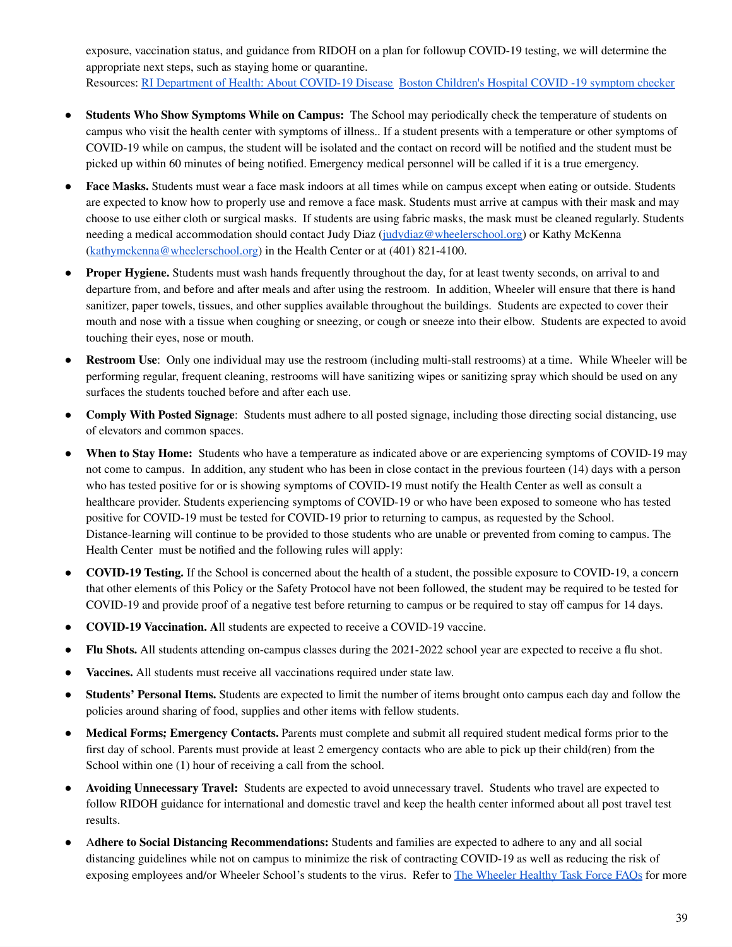exposure, vaccination status, and guidance from RIDOH on a plan for followup COVID-19 testing, we will determine the appropriate next steps, such as staying home or quarantine. Resources: RI [Department](https://covid.ri.gov/covid-19-prevention/about-covid-19-disease) of Health: About COVID-19 Diseas[e](https://covid.ri.gov/covid-19-prevention/about-covid-19-disease) Boston Children's Hospital COVID -19 symptom checker

- **Students Who Show Symptoms While on Campus:** The School may periodically check the temperature of students on campus who visit the health center with symptoms of illness.. If a student presents with a temperature or other symptoms of COVID-19 while on campus, the student will be isolated and the contact on record will be notified and the student must be picked up within 60 minutes of being notified. Emergency medical personnel will be called if it is a true emergency.
- **Face Masks.** Students must wear a face mask indoors at all times while on campus except when eating or outside. Students are expected to know how to properly use and remove a face mask. Students must arrive at campus with their mask and may choose to use either cloth or surgical masks. If students are using fabric masks, the mask must be cleaned regularly. Students needing a medical accommodation should contact Judy Diaz [\(judydiaz@wheelerschool.org](mailto:judydiaz@wheelerschool.org)) or Kathy McKenna [\(kathymckenna@wheelerschool.org](mailto:kathymckenna@wheelerschool.org)) in the Health Center or at (401) 821-4100.
- **● Proper Hygiene.** Students must wash hands frequently throughout the day, for at least twenty seconds, on arrival to and departure from, and before and after meals and after using the restroom. In addition, Wheeler will ensure that there is hand sanitizer, paper towels, tissues, and other supplies available throughout the buildings. Students are expected to cover their mouth and nose with a tissue when coughing or sneezing, or cough or sneeze into their elbow. Students are expected to avoid touching their eyes, nose or mouth.
- **● Restroom Use**: Only one individual may use the restroom (including multi-stall restrooms) at a time. While Wheeler will be performing regular, frequent cleaning, restrooms will have sanitizing wipes or sanitizing spray which should be used on any surfaces the students touched before and after each use.
- **Comply With Posted Signage**: Students must adhere to all posted signage, including those directing social distancing, use of elevators and common spaces.
- **When to Stay Home:** Students who have a temperature as indicated above or are experiencing symptoms of COVID-19 may not come to campus. In addition, any student who has been in close contact in the previous fourteen (14) days with a person who has tested positive for or is showing symptoms of COVID-19 must notify the Health Center as well as consult a healthcare provider. Students experiencing symptoms of COVID-19 or who have been exposed to someone who has tested positive for COVID-19 must be tested for COVID-19 prior to returning to campus, as requested by the School. Distance-learning will continue to be provided to those students who are unable or prevented from coming to campus. The Health Center must be notified and the following rules will apply:
- **COVID-19 Testing.** If the School is concerned about the health of a student, the possible exposure to COVID-19, a concern that other elements of this Policy or the Safety Protocol have not been followed, the student may be required to be tested for COVID-19 and provide proof of a negative test before returning to campus or be required to stay off campus for 14 days.
- **COVID-19 Vaccination. A**ll students are expected to receive a COVID-19 vaccine.
- **Flu Shots.** All students attending on-campus classes during the 2021-2022 school year are expected to receive a flu shot.
- **Vaccines.** All students must receive all vaccinations required under state law.
- **Students' Personal Items.** Students are expected to limit the number of items brought onto campus each day and follow the policies around sharing of food, supplies and other items with fellow students.
- **Medical Forms; Emergency Contacts.** Parents must complete and submit all required student medical forms prior to the first day of school. Parents must provide at least 2 emergency contacts who are able to pick up their child(ren) from the School within one (1) hour of receiving a call from the school.
- **Avoiding Unnecessary Travel:** Students are expected to avoid unnecessary travel. Students who travel are expected to follow RIDOH guidance for international and domestic travel and keep the health center informed about all post travel test results.
- A**dhere to Social Distancing Recommendations:** Students and families are expected to adhere to any and all social distancing guidelines while not on campus to minimize the risk of contracting COVID-19 as well as reducing the risk of exposing employees and/or [Wheeler](https://docs.google.com/document/d/1qeqgOO2k5WJqVPGK1jX6QcPSy458TV59guR7jWBCjDg/edit?usp=sharing) School's students to the virus. Refer to The Wheeler Healthy Task Force FAQs for more